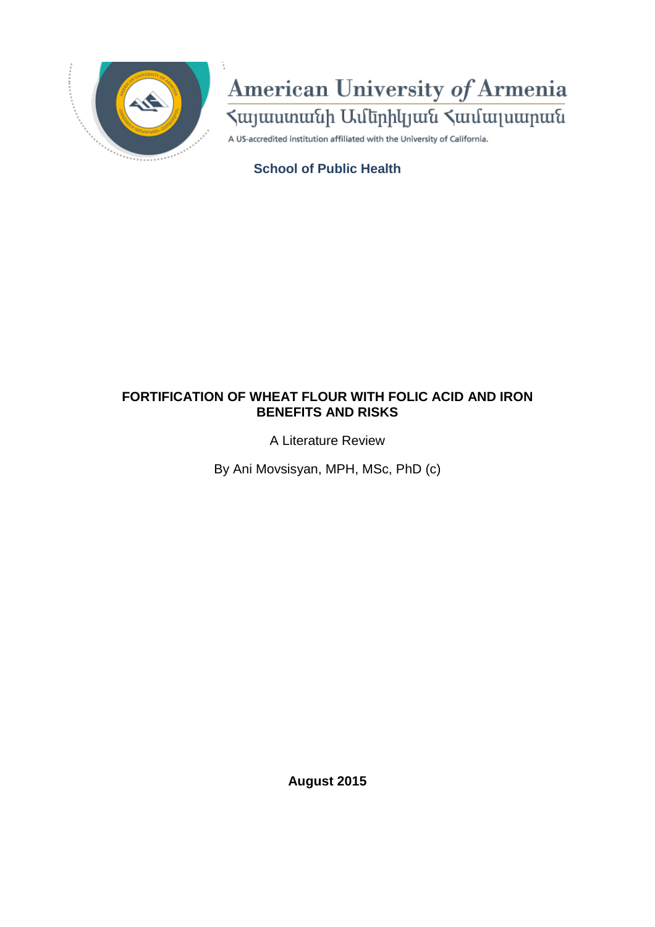

# American University of Armenia

A US-accredited institution affiliated with the University of California.

## **School of Public Health**

## **FORTIFICATION OF WHEAT FLOUR WITH FOLIC ACID AND IRON BENEFITS AND RISKS**

A Literature Review

By Ani Movsisyan, MPH, MSc, PhD (c)

**August 2015**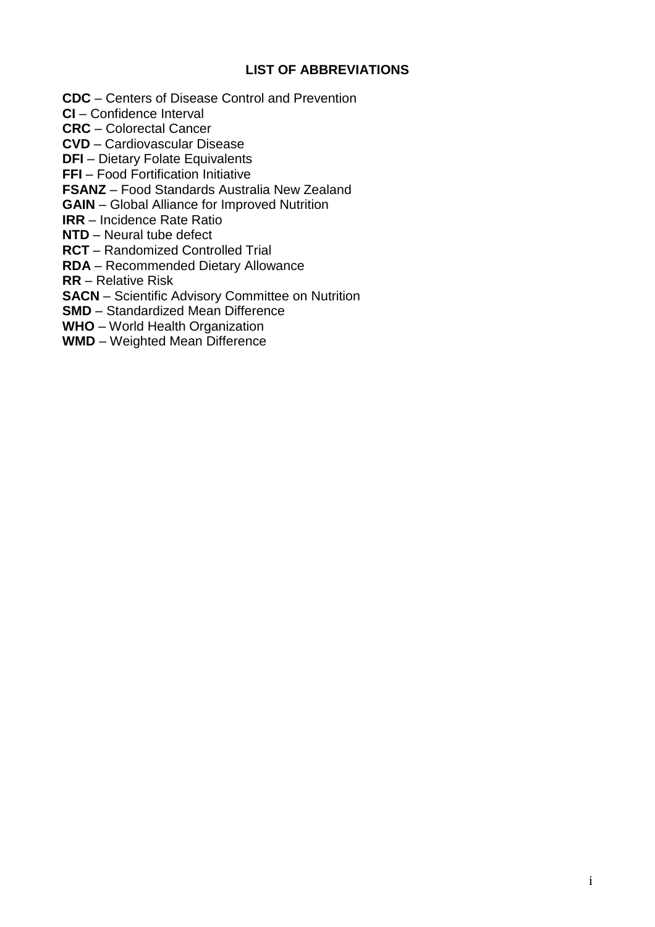## **LIST OF ABBREVIATIONS**

**CDC** – Centers of Disease Control and Prevention

**CI** – Confidence Interval

**CRC** – Colorectal Cancer

**CVD** – Cardiovascular Disease

**DFI** – Dietary Folate Equivalents

**FFI** – Food Fortification Initiative

**FSANZ** – Food Standards Australia New Zealand

**GAIN** – Global Alliance for Improved Nutrition

**IRR** – Incidence Rate Ratio

**NTD** – Neural tube defect

**RCT** – Randomized Controlled Trial

**RDA** – Recommended Dietary Allowance

**RR** – Relative Risk

**SACN** – Scientific Advisory Committee on Nutrition

**SMD** – Standardized Mean Difference

**WHO** – World Health Organization

**WMD** – Weighted Mean Difference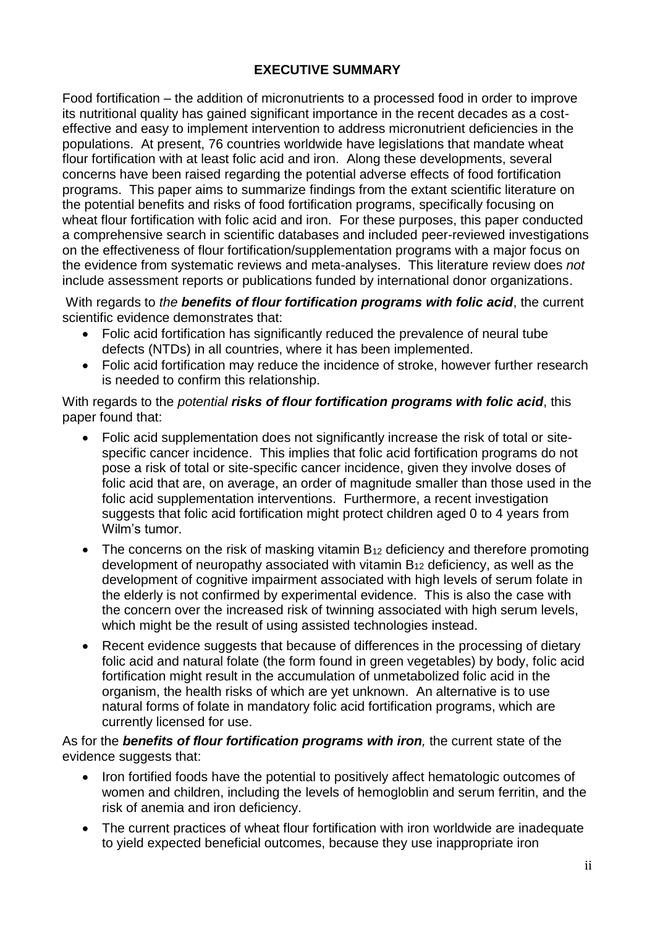## **EXECUTIVE SUMMARY**

Food fortification – the addition of micronutrients to a processed food in order to improve its nutritional quality has gained significant importance in the recent decades as a costeffective and easy to implement intervention to address micronutrient deficiencies in the populations. At present, 76 countries worldwide have legislations that mandate wheat flour fortification with at least folic acid and iron. Along these developments, several concerns have been raised regarding the potential adverse effects of food fortification programs. This paper aims to summarize findings from the extant scientific literature on the potential benefits and risks of food fortification programs, specifically focusing on wheat flour fortification with folic acid and iron. For these purposes, this paper conducted a comprehensive search in scientific databases and included peer-reviewed investigations on the effectiveness of flour fortification/supplementation programs with a major focus on the evidence from systematic reviews and meta-analyses. This literature review does *not* include assessment reports or publications funded by international donor organizations.

With regards to *the benefits of flour fortification programs with folic acid*, the current scientific evidence demonstrates that:

- Folic acid fortification has significantly reduced the prevalence of neural tube defects (NTDs) in all countries, where it has been implemented.
- Folic acid fortification may reduce the incidence of stroke, however further research is needed to confirm this relationship.

With regards to the *potential risks of flour fortification programs with folic acid*, this paper found that:

- Folic acid supplementation does not significantly increase the risk of total or sitespecific cancer incidence. This implies that folic acid fortification programs do not pose a risk of total or site-specific cancer incidence, given they involve doses of folic acid that are, on average, an order of magnitude smaller than those used in the folic acid supplementation interventions. Furthermore, a recent investigation suggests that folic acid fortification might protect children aged 0 to 4 years from Wilm's tumor.
- The concerns on the risk of masking vitamin  $B_{12}$  deficiency and therefore promoting development of neuropathy associated with vitamin  $B_{12}$  deficiency, as well as the development of cognitive impairment associated with high levels of serum folate in the elderly is not confirmed by experimental evidence. This is also the case with the concern over the increased risk of twinning associated with high serum levels, which might be the result of using assisted technologies instead.
- Recent evidence suggests that because of differences in the processing of dietary folic acid and natural folate (the form found in green vegetables) by body, folic acid fortification might result in the accumulation of unmetabolized folic acid in the organism, the health risks of which are yet unknown. An alternative is to use natural forms of folate in mandatory folic acid fortification programs, which are currently licensed for use.

As for the *benefits of flour fortification programs with iron,* the current state of the evidence suggests that:

- Iron fortified foods have the potential to positively affect hematologic outcomes of women and children, including the levels of hemogloblin and serum ferritin, and the risk of anemia and iron deficiency.
- The current practices of wheat flour fortification with iron worldwide are inadequate to yield expected beneficial outcomes, because they use inappropriate iron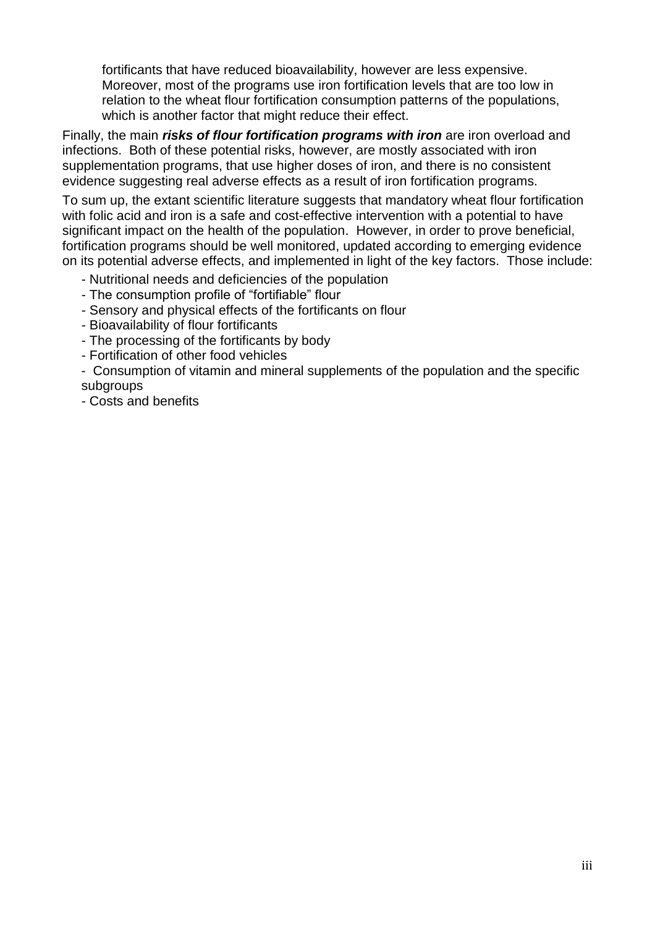fortificants that have reduced bioavailability, however are less expensive. Moreover, most of the programs use iron fortification levels that are too low in relation to the wheat flour fortification consumption patterns of the populations, which is another factor that might reduce their effect.

Finally, the main *risks of flour fortification programs with iron* are iron overload and infections. Both of these potential risks, however, are mostly associated with iron supplementation programs, that use higher doses of iron, and there is no consistent evidence suggesting real adverse effects as a result of iron fortification programs.

To sum up, the extant scientific literature suggests that mandatory wheat flour fortification with folic acid and iron is a safe and cost-effective intervention with a potential to have significant impact on the health of the population. However, in order to prove beneficial, fortification programs should be well monitored, updated according to emerging evidence on its potential adverse effects, and implemented in light of the key factors. Those include:

- Nutritional needs and deficiencies of the population
- The consumption profile of "fortifiable" flour
- Sensory and physical effects of the fortificants on flour
- Bioavailability of flour fortificants
- The processing of the fortificants by body
- Fortification of other food vehicles

- Consumption of vitamin and mineral supplements of the population and the specific subgroups

- Costs and benefits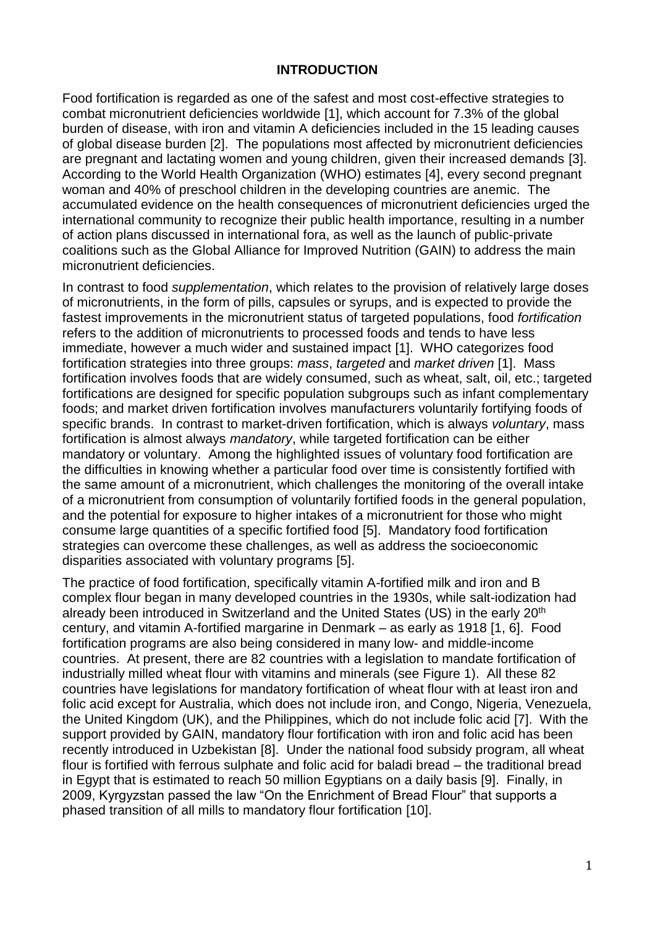## **INTRODUCTION**

Food fortification is regarded as one of the safest and most cost-effective strategies to combat micronutrient deficiencies worldwide [\[1\]](#page-19-0), which account for 7.3% of the global burden of disease, with iron and vitamin A deficiencies included in the 15 leading causes of global disease burden [\[2\]](#page-19-1). The populations most affected by micronutrient deficiencies are pregnant and lactating women and young children, given their increased demands [\[3\]](#page-19-2). According to the World Health Organization (WHO) estimates [\[4\]](#page-19-3), every second pregnant woman and 40% of preschool children in the developing countries are anemic. The accumulated evidence on the health consequences of micronutrient deficiencies urged the international community to recognize their public health importance, resulting in a number of action plans discussed in international fora, as well as the launch of public-private coalitions such as the Global Alliance for Improved Nutrition (GAIN) to address the main micronutrient deficiencies.

In contrast to food *supplementation*, which relates to the provision of relatively large doses of micronutrients, in the form of pills, capsules or syrups, and is expected to provide the fastest improvements in the micronutrient status of targeted populations, food *fortification* refers to the addition of micronutrients to processed foods and tends to have less immediate, however a much wider and sustained impact [\[1\]](#page-19-0). WHO categorizes food fortification strategies into three groups: *mass*, *targeted* and *market driven* [\[1\]](#page-19-0). Mass fortification involves foods that are widely consumed, such as wheat, salt, oil, etc.; targeted fortifications are designed for specific population subgroups such as infant complementary foods; and market driven fortification involves manufacturers voluntarily fortifying foods of specific brands. In contrast to market-driven fortification, which is always *voluntary*, mass fortification is almost always *mandatory*, while targeted fortification can be either mandatory or voluntary. Among the highlighted issues of voluntary food fortification are the difficulties in knowing whether a particular food over time is consistently fortified with the same amount of a micronutrient, which challenges the monitoring of the overall intake of a micronutrient from consumption of voluntarily fortified foods in the general population, and the potential for exposure to higher intakes of a micronutrient for those who might consume large quantities of a specific fortified food [\[5\]](#page-19-4). Mandatory food fortification strategies can overcome these challenges, as well as address the socioeconomic disparities associated with voluntary programs [\[5\]](#page-19-4).

The practice of food fortification, specifically vitamin A-fortified milk and iron and B complex flour began in many developed countries in the 1930s, while salt-iodization had already been introduced in Switzerland and the United States (US) in the early 20<sup>th</sup> century, and vitamin A-fortified margarine in Denmark – as early as 1918 [\[1,](#page-19-0) [6\]](#page-19-5). Food fortification programs are also being considered in many low- and middle-income countries. At present, there are 82 countries with a legislation to mandate fortification of industrially milled wheat flour with vitamins and minerals (see Figure 1). All these 82 countries have legislations for mandatory fortification of wheat flour with at least iron and folic acid except for Australia, which does not include iron, and Congo, Nigeria, Venezuela, the United Kingdom (UK), and the Philippines, which do not include folic acid [\[7\]](#page-19-6). With the support provided by GAIN, mandatory flour fortification with iron and folic acid has been recently introduced in Uzbekistan [\[8\]](#page-19-7). Under the national food subsidy program, all wheat flour is fortified with ferrous sulphate and folic acid for baladi bread – the traditional bread in Egypt that is estimated to reach 50 million Egyptians on a daily basis [\[9\]](#page-19-8). Finally, in 2009, Kyrgyzstan passed the law "On the Enrichment of Bread Flour" that supports a phased transition of all mills to mandatory flour fortification [\[10\]](#page-19-9).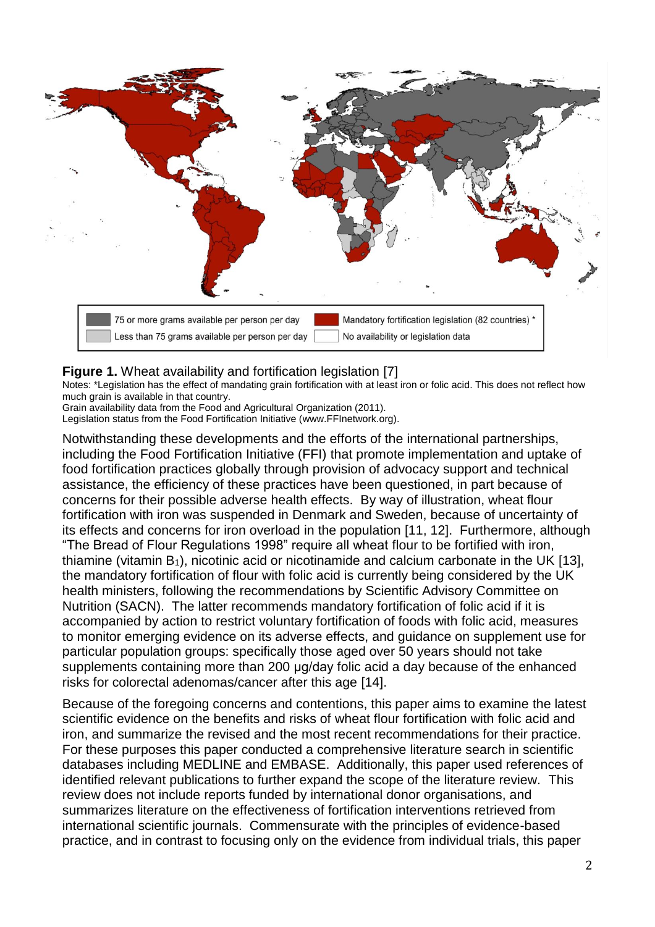

## **Figure 1.** Wheat availability and fortification legislation [\[7\]](#page-19-6)

Notes: \*Legislation has the effect of mandating grain fortification with at least iron or folic acid. This does not reflect how much grain is available in that country.

Grain availability data from the Food and Agricultural Organization (2011). Legislation status from the Food Fortification Initiative (www.FFInetwork.org).

Notwithstanding these developments and the efforts of the international partnerships, including the Food Fortification Initiative (FFI) that promote implementation and uptake of food fortification practices globally through provision of advocacy support and technical assistance, the efficiency of these practices have been questioned, in part because of concerns for their possible adverse health effects. By way of illustration, wheat flour fortification with iron was suspended in Denmark and Sweden, because of uncertainty of its effects and concerns for iron overload in the population [\[11,](#page-19-10) [12\]](#page-19-11). Furthermore, although "The Bread of Flour Regulations 1998" require all wheat flour to be fortified with iron, thiamine (vitamin  $B_1$ ), nicotinic acid or nicotinamide and calcium carbonate in the UK [\[13\]](#page-19-12), the mandatory fortification of flour with folic acid is currently being considered by the UK health ministers, following the recommendations by Scientific Advisory Committee on Nutrition (SACN). The latter recommends mandatory fortification of folic acid if it is accompanied by action to restrict voluntary fortification of foods with folic acid, measures to monitor emerging evidence on its adverse effects, and guidance on supplement use for particular population groups: specifically those aged over 50 years should not take supplements containing more than 200 μg/day folic acid a day because of the enhanced risks for colorectal adenomas/cancer after this age [\[14\]](#page-19-13).

Because of the foregoing concerns and contentions, this paper aims to examine the latest scientific evidence on the benefits and risks of wheat flour fortification with folic acid and iron, and summarize the revised and the most recent recommendations for their practice. For these purposes this paper conducted a comprehensive literature search in scientific databases including MEDLINE and EMBASE. Additionally, this paper used references of identified relevant publications to further expand the scope of the literature review. This review does not include reports funded by international donor organisations, and summarizes literature on the effectiveness of fortification interventions retrieved from international scientific journals. Commensurate with the principles of evidence-based practice, and in contrast to focusing only on the evidence from individual trials, this paper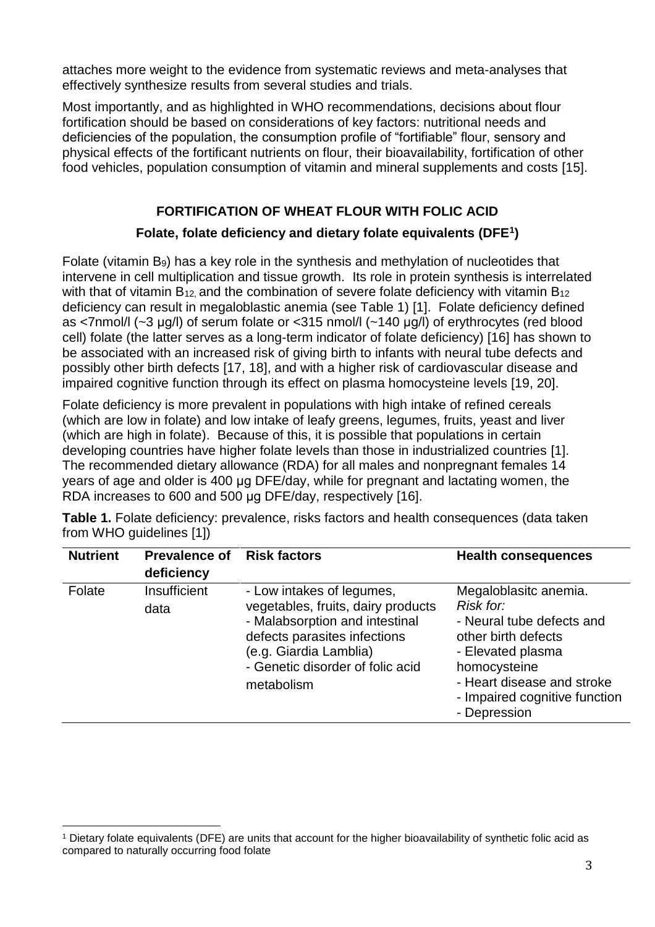attaches more weight to the evidence from systematic reviews and meta-analyses that effectively synthesize results from several studies and trials.

Most importantly, and as highlighted in WHO recommendations, decisions about flour fortification should be based on considerations of key factors: nutritional needs and deficiencies of the population, the consumption profile of "fortifiable" flour, sensory and physical effects of the fortificant nutrients on flour, their bioavailability, fortification of other food vehicles, population consumption of vitamin and mineral supplements and costs [\[15\]](#page-19-14).

## **FORTIFICATION OF WHEAT FLOUR WITH FOLIC ACID**

## **Folate, folate deficiency and dietary folate equivalents (DFE<sup>1</sup> )**

Folate (vitamin B9) has a key role in the synthesis and methylation of nucleotides that intervene in cell multiplication and tissue growth. Its role in protein synthesis is interrelated with that of vitamin  $B_{12}$  and the combination of severe folate deficiency with vitamin  $B_{12}$ deficiency can result in megaloblastic anemia (see Table 1) [\[1\]](#page-19-0). Folate deficiency defined as <7nmol/l (~3 μg/l) of serum folate or <315 nmol/l (~140 μg/l) of erythrocytes (red blood cell) folate (the latter serves as a long-term indicator of folate deficiency) [\[16\]](#page-19-15) has shown to be associated with an increased risk of giving birth to infants with neural tube defects and possibly other birth defects [\[17,](#page-19-16) [18\]](#page-19-17), and with a higher risk of cardiovascular disease and impaired cognitive function through its effect on plasma homocysteine levels [\[19,](#page-20-0) [20\]](#page-20-1).

Folate deficiency is more prevalent in populations with high intake of refined cereals (which are low in folate) and low intake of leafy greens, legumes, fruits, yeast and liver (which are high in folate). Because of this, it is possible that populations in certain developing countries have higher folate levels than those in industrialized countries [\[1\]](#page-19-0). The recommended dietary allowance (RDA) for all males and nonpregnant females 14 years of age and older is 400 μg DFE/day, while for pregnant and lactating women, the RDA increases to 600 and 500 μg DFE/day, respectively [\[16\]](#page-19-15).

| <b>Nutrient</b> | <b>Prevalence of</b><br>deficiency | <b>Risk factors</b>                                                                                                                                                                                           | <b>Health consequences</b>                                                                                                                                                                                 |
|-----------------|------------------------------------|---------------------------------------------------------------------------------------------------------------------------------------------------------------------------------------------------------------|------------------------------------------------------------------------------------------------------------------------------------------------------------------------------------------------------------|
| Folate          | Insufficient<br>data               | - Low intakes of legumes,<br>vegetables, fruits, dairy products<br>- Malabsorption and intestinal<br>defects parasites infections<br>(e.g. Giardia Lamblia)<br>- Genetic disorder of folic acid<br>metabolism | Megaloblasitc anemia.<br>Risk for:<br>- Neural tube defects and<br>other birth defects<br>- Elevated plasma<br>homocysteine<br>- Heart disease and stroke<br>- Impaired cognitive function<br>- Depression |

**Table 1.** Folate deficiency: prevalence, risks factors and health consequences (data taken from WHO guidelines [1])

 $\overline{\phantom{a}}$ 

<sup>1</sup> Dietary folate equivalents (DFE) are units that account for the higher bioavailability of synthetic folic acid as compared to naturally occurring food folate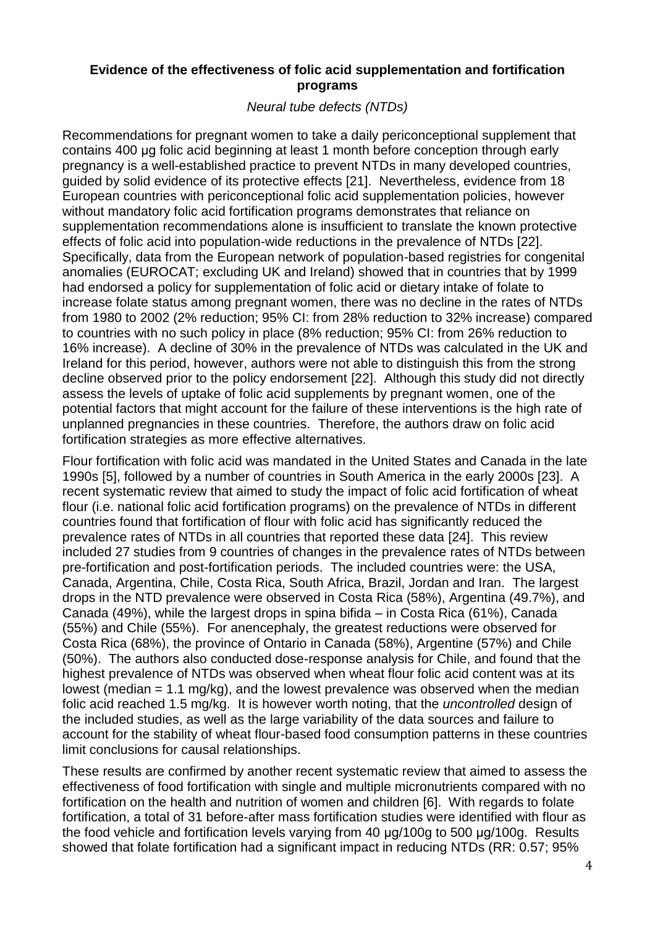## **Evidence of the effectiveness of folic acid supplementation and fortification programs**

*Neural tube defects (NTDs)*

Recommendations for pregnant women to take a daily periconceptional supplement that contains 400 μg folic acid beginning at least 1 month before conception through early pregnancy is a well-established practice to prevent NTDs in many developed countries, guided by solid evidence of its protective effects [\[21\]](#page-20-2). Nevertheless, evidence from 18 European countries with periconceptional folic acid supplementation policies, however without mandatory folic acid fortification programs demonstrates that reliance on supplementation recommendations alone is insufficient to translate the known protective effects of folic acid into population-wide reductions in the prevalence of NTDs [\[22\]](#page-20-3). Specifically, data from the European network of population-based registries for congenital anomalies (EUROCAT; excluding UK and Ireland) showed that in countries that by 1999 had endorsed a policy for supplementation of folic acid or dietary intake of folate to increase folate status among pregnant women, there was no decline in the rates of NTDs from 1980 to 2002 (2% reduction; 95% CI: from 28% reduction to 32% increase) compared to countries with no such policy in place (8% reduction; 95% CI: from 26% reduction to 16% increase). A decline of 30% in the prevalence of NTDs was calculated in the UK and Ireland for this period, however, authors were not able to distinguish this from the strong decline observed prior to the policy endorsement [\[22\]](#page-20-3). Although this study did not directly assess the levels of uptake of folic acid supplements by pregnant women, one of the potential factors that might account for the failure of these interventions is the high rate of unplanned pregnancies in these countries. Therefore, the authors draw on folic acid fortification strategies as more effective alternatives.

Flour fortification with folic acid was mandated in the United States and Canada in the late 1990s [\[5\]](#page-19-4), followed by a number of countries in South America in the early 2000s [\[23\]](#page-20-4). A recent systematic review that aimed to study the impact of folic acid fortification of wheat flour (i.e. national folic acid fortification programs) on the prevalence of NTDs in different countries found that fortification of flour with folic acid has significantly reduced the prevalence rates of NTDs in all countries that reported these data [\[24\]](#page-20-5). This review included 27 studies from 9 countries of changes in the prevalence rates of NTDs between pre-fortification and post-fortification periods. The included countries were: the USA, Canada, Argentina, Chile, Costa Rica, South Africa, Brazil, Jordan and Iran. The largest drops in the NTD prevalence were observed in Costa Rica (58%), Argentina (49.7%), and Canada (49%), while the largest drops in spina bifida – in Costa Rica (61%), Canada (55%) and Chile (55%). For anencephaly, the greatest reductions were observed for Costa Rica (68%), the province of Ontario in Canada (58%), Argentine (57%) and Chile (50%). The authors also conducted dose-response analysis for Chile, and found that the highest prevalence of NTDs was observed when wheat flour folic acid content was at its lowest (median = 1.1 mg/kg), and the lowest prevalence was observed when the median folic acid reached 1.5 mg/kg. It is however worth noting, that the *uncontrolled* design of the included studies, as well as the large variability of the data sources and failure to account for the stability of wheat flour-based food consumption patterns in these countries limit conclusions for causal relationships.

These results are confirmed by another recent systematic review that aimed to assess the effectiveness of food fortification with single and multiple micronutrients compared with no fortification on the health and nutrition of women and children [\[6\]](#page-19-5). With regards to folate fortification, a total of 31 before-after mass fortification studies were identified with flour as the food vehicle and fortification levels varying from 40 μg/100g to 500 μg/100g. Results showed that folate fortification had a significant impact in reducing NTDs (RR: 0.57; 95%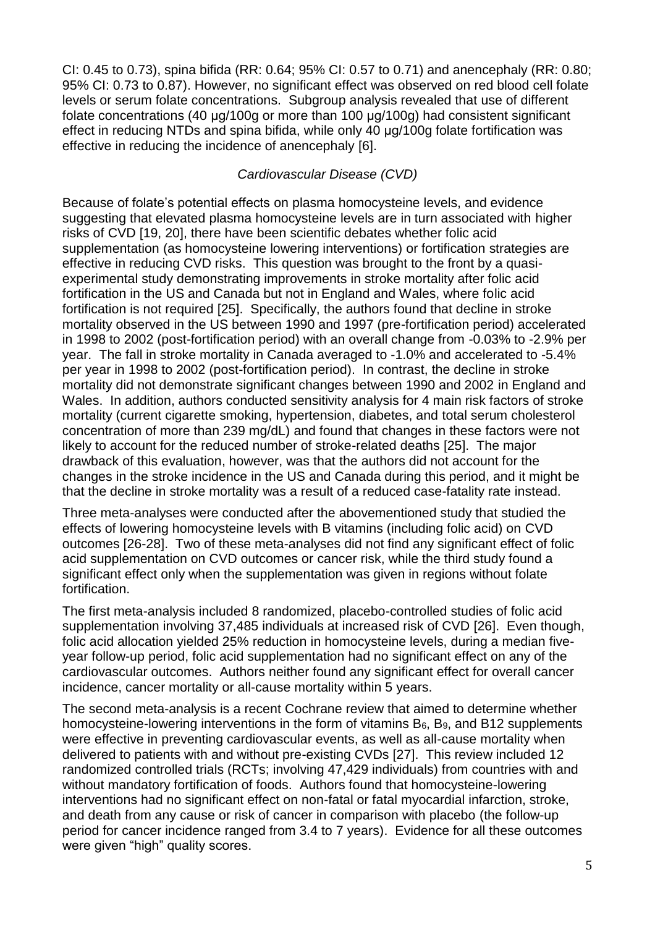CI: 0.45 to 0.73), spina bifida (RR: 0.64; 95% CI: 0.57 to 0.71) and anencephaly (RR: 0.80; 95% CI: 0.73 to 0.87). However, no significant effect was observed on red blood cell folate levels or serum folate concentrations. Subgroup analysis revealed that use of different folate concentrations (40 μg/100g or more than 100 μg/100g) had consistent significant effect in reducing NTDs and spina bifida, while only 40 μg/100g folate fortification was effective in reducing the incidence of anencephaly [\[6\]](#page-19-5).

## *Cardiovascular Disease (CVD)*

Because of folate's potential effects on plasma homocysteine levels, and evidence suggesting that elevated plasma homocysteine levels are in turn associated with higher risks of CVD [\[19,](#page-20-0) [20\]](#page-20-1), there have been scientific debates whether folic acid supplementation (as homocysteine lowering interventions) or fortification strategies are effective in reducing CVD risks. This question was brought to the front by a quasiexperimental study demonstrating improvements in stroke mortality after folic acid fortification in the US and Canada but not in England and Wales, where folic acid fortification is not required [\[25\]](#page-20-6). Specifically, the authors found that decline in stroke mortality observed in the US between 1990 and 1997 (pre-fortification period) accelerated in 1998 to 2002 (post-fortification period) with an overall change from -0.03% to -2.9% per year. The fall in stroke mortality in Canada averaged to -1.0% and accelerated to -5.4% per year in 1998 to 2002 (post-fortification period). In contrast, the decline in stroke mortality did not demonstrate significant changes between 1990 and 2002 in England and Wales. In addition, authors conducted sensitivity analysis for 4 main risk factors of stroke mortality (current cigarette smoking, hypertension, diabetes, and total serum cholesterol concentration of more than 239 mg/dL) and found that changes in these factors were not likely to account for the reduced number of stroke-related deaths [\[25\]](#page-20-6). The major drawback of this evaluation, however, was that the authors did not account for the changes in the stroke incidence in the US and Canada during this period, and it might be that the decline in stroke mortality was a result of a reduced case-fatality rate instead.

Three meta-analyses were conducted after the abovementioned study that studied the effects of lowering homocysteine levels with B vitamins (including folic acid) on CVD outcomes [\[26-28\]](#page-20-7). Two of these meta-analyses did not find any significant effect of folic acid supplementation on CVD outcomes or cancer risk, while the third study found a significant effect only when the supplementation was given in regions without folate fortification.

The first meta-analysis included 8 randomized, placebo-controlled studies of folic acid supplementation involving 37,485 individuals at increased risk of CVD [\[26\]](#page-20-7). Even though, folic acid allocation yielded 25% reduction in homocysteine levels, during a median fiveyear follow-up period, folic acid supplementation had no significant effect on any of the cardiovascular outcomes. Authors neither found any significant effect for overall cancer incidence, cancer mortality or all-cause mortality within 5 years.

The second meta-analysis is a recent Cochrane review that aimed to determine whether homocysteine-lowering interventions in the form of vitamins  $B_6$ ,  $B_9$ , and B12 supplements were effective in preventing cardiovascular events, as well as all-cause mortality when delivered to patients with and without pre-existing CVDs [\[27\]](#page-20-8). This review included 12 randomized controlled trials (RCTs; involving 47,429 individuals) from countries with and without mandatory fortification of foods. Authors found that homocysteine-lowering interventions had no significant effect on non-fatal or fatal myocardial infarction, stroke, and death from any cause or risk of cancer in comparison with placebo (the follow-up period for cancer incidence ranged from 3.4 to 7 years). Evidence for all these outcomes were given "high" quality scores.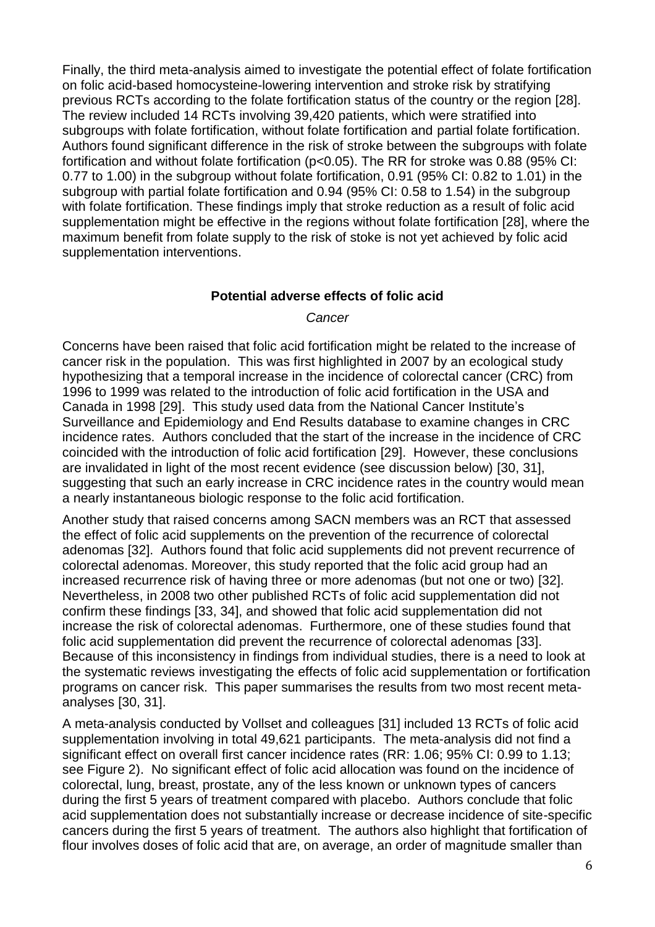Finally, the third meta-analysis aimed to investigate the potential effect of folate fortification on folic acid-based homocysteine-lowering intervention and stroke risk by stratifying previous RCTs according to the folate fortification status of the country or the region [\[28\]](#page-20-9). The review included 14 RCTs involving 39,420 patients, which were stratified into subgroups with folate fortification, without folate fortification and partial folate fortification. Authors found significant difference in the risk of stroke between the subgroups with folate fortification and without folate fortification (p<0.05). The RR for stroke was 0.88 (95% CI: 0.77 to 1.00) in the subgroup without folate fortification, 0.91 (95% CI: 0.82 to 1.01) in the subgroup with partial folate fortification and 0.94 (95% CI: 0.58 to 1.54) in the subgroup with folate fortification. These findings imply that stroke reduction as a result of folic acid supplementation might be effective in the regions without folate fortification [\[28\]](#page-20-9), where the maximum benefit from folate supply to the risk of stoke is not yet achieved by folic acid supplementation interventions.

### **Potential adverse effects of folic acid**

#### *Cancer*

Concerns have been raised that folic acid fortification might be related to the increase of cancer risk in the population. This was first highlighted in 2007 by an ecological study hypothesizing that a temporal increase in the incidence of colorectal cancer (CRC) from 1996 to 1999 was related to the introduction of folic acid fortification in the USA and Canada in 1998 [\[29\]](#page-20-10). This study used data from the National Cancer Institute's Surveillance and Epidemiology and End Results database to examine changes in CRC incidence rates. Authors concluded that the start of the increase in the incidence of CRC coincided with the introduction of folic acid fortification [\[29\]](#page-20-10). However, these conclusions are invalidated in light of the most recent evidence (see discussion below) [\[30,](#page-20-11) [31\]](#page-20-12), suggesting that such an early increase in CRC incidence rates in the country would mean a nearly instantaneous biologic response to the folic acid fortification.

Another study that raised concerns among SACN members was an RCT that assessed the effect of folic acid supplements on the prevention of the recurrence of colorectal adenomas [\[32\]](#page-20-13). Authors found that folic acid supplements did not prevent recurrence of colorectal adenomas. Moreover, this study reported that the folic acid group had an increased recurrence risk of having three or more adenomas (but not one or two) [\[32\]](#page-20-13). Nevertheless, in 2008 two other published RCTs of folic acid supplementation did not confirm these findings [\[33,](#page-20-14) [34\]](#page-20-15), and showed that folic acid supplementation did not increase the risk of colorectal adenomas. Furthermore, one of these studies found that folic acid supplementation did prevent the recurrence of colorectal adenomas [\[33\]](#page-20-14). Because of this inconsistency in findings from individual studies, there is a need to look at the systematic reviews investigating the effects of folic acid supplementation or fortification programs on cancer risk. This paper summarises the results from two most recent metaanalyses [\[30,](#page-20-11) [31\]](#page-20-12).

A meta-analysis conducted by Vollset and colleagues [\[31\]](#page-20-12) included 13 RCTs of folic acid supplementation involving in total 49,621 participants. The meta-analysis did not find a significant effect on overall first cancer incidence rates (RR: 1.06; 95% CI: 0.99 to 1.13; see Figure 2). No significant effect of folic acid allocation was found on the incidence of colorectal, lung, breast, prostate, any of the less known or unknown types of cancers during the first 5 years of treatment compared with placebo. Authors conclude that folic acid supplementation does not substantially increase or decrease incidence of site-specific cancers during the first 5 years of treatment. The authors also highlight that fortification of flour involves doses of folic acid that are, on average, an order of magnitude smaller than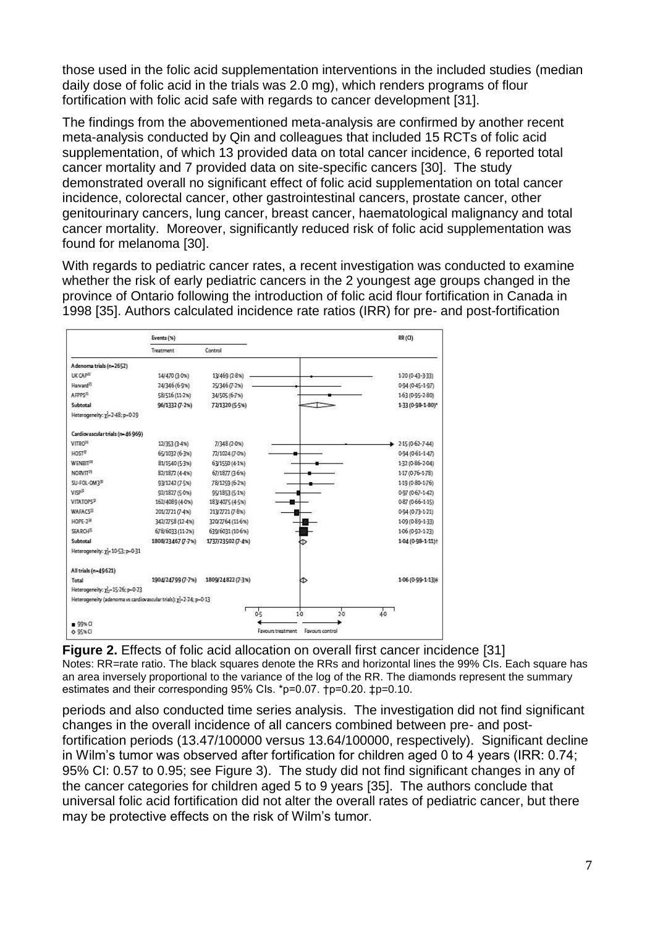those used in the folic acid supplementation interventions in the included studies (median daily dose of folic acid in the trials was 2.0 mg), which renders programs of flour fortification with folic acid safe with regards to cancer development [\[31\]](#page-20-12).

The findings from the abovementioned meta-analysis are confirmed by another recent meta-analysis conducted by Qin and colleagues that included 15 RCTs of folic acid supplementation, of which 13 provided data on total cancer incidence, 6 reported total cancer mortality and 7 provided data on site-specific cancers [\[30\]](#page-20-11). The study demonstrated overall no significant effect of folic acid supplementation on total cancer incidence, colorectal cancer, other gastrointestinal cancers, prostate cancer, other genitourinary cancers, lung cancer, breast cancer, haematological malignancy and total cancer mortality. Moreover, significantly reduced risk of folic acid supplementation was found for melanoma [\[30\]](#page-20-11).

With regards to pediatric cancer rates, a recent investigation was conducted to examine whether the risk of early pediatric cancers in the 2 youngest age groups changed in the province of Ontario following the introduction of folic acid flour fortification in Canada in 1998 [\[35\]](#page-20-16). Authors calculated incidence rate ratios (IRR) for pre- and post-fortification

|                                                                   | Events (%)        |                   |                                      | RR(G)                 |
|-------------------------------------------------------------------|-------------------|-------------------|--------------------------------------|-----------------------|
|                                                                   | Treatment         | Control           |                                      |                       |
| Adenoma trials (n-2652)                                           |                   |                   |                                      |                       |
| UK CAP <sup>TT</sup>                                              | 14/470 (3-0%)     | 13/469 (2-8%)     |                                      | 1-20 (0-43-3-33)      |
| Harvard <sup>73</sup>                                             | 24/346 (6-9%)     | 25/346 (7-2%)     |                                      | 0-94 (0-45-1-97)      |
| AFPPS <sup>21</sup>                                               | 58/516 (11-2%)    | 34/505 (6-7%)     |                                      | 163 (0-95-2-80)       |
| Subtotal                                                          | 96/1332 (7-2%)    | 72/1320 (5-5%)    |                                      | $1.33(0.98 - 1.80)^*$ |
| Heterogeneity: y2-2-48; p-0-29                                    |                   |                   |                                      |                       |
| Cardiovascular trials (n=46 969)                                  |                   |                   |                                      |                       |
| VITRO <sup>26</sup>                                               | 12/353 (3-4%)     | 7/348 (2-0%)      |                                      | 2-15 (0-62-7-44)      |
| HOST <sup>7</sup>                                                 | 65/1032 (6-3%)    | 72/1024 (7-0%)    |                                      | 0-94 (0-61-1-47)      |
| WENRIT <sup>28</sup>                                              | 81/1540 (5-3%)    | 63/1550 (4-1%)    |                                      | 1-32 (0-86-2-04)      |
| NORVIT <sup>23</sup>                                              | 82/1872 (4-4%)    | 67/1877 (3-6%)    |                                      | 147 (0-76-1-78)       |
| SU-FOL-OM3 <sup>30</sup>                                          | 93/1242 (7-5%)    | 78/1259 (6-2%)    |                                      | 1-19 (0-80-1-76)      |
| VISP <sup>3</sup>                                                 | 92/1827 (5-0%)    | 95/1853 (5-1%)    |                                      | 0-97 (0-67-1-42)      |
| <b>VITATOPSP</b>                                                  | 162/4089 (4-0%)   | 183/4075 (4-5%)   |                                      | 0-87 (0-66-1-15)      |
| WAFACSE                                                           | 201/2721 (7-4%)   | 213/2721 (7-8%)   |                                      | 0-94 (0-73-1-21)      |
| <b>HOPE-234</b>                                                   | 342/2758 (12-4%)  | 320/2764 (11-6%)  |                                      | 109 (0-89-1-33)       |
| <b>SEARCH®</b>                                                    | 678/6033 (11-2%)  | 639/6031 (10-6%)  |                                      | 106 (0-92-1-23)       |
| Subtotal                                                          | 1808/23467 (7.7%) | 1737/23502 (7-4%) |                                      | $1.04(0.98 - 1.11)$   |
| Heterogeneity: x-10-53; p-0-31                                    |                   |                   |                                      |                       |
| All trials (n-49621)                                              |                   |                   |                                      |                       |
| Total                                                             | 1904/24799 (7-7%) | 1809/24822 (7-3%) | kΔ                                   | 1.06 (0-99-1-13)#     |
| Heterogeneity: y2-15-26; p-0-23                                   |                   |                   |                                      |                       |
| Heterogeneity (adenoma vs cardiovascular trials): y2-2-24; p=0-13 |                   |                   |                                      |                       |
|                                                                   |                   |                   | $\frac{1}{20}$<br>0.5<br>10          | $\frac{1}{40}$        |
| $99%$ Cl                                                          |                   |                   |                                      |                       |
| 0.95%                                                             |                   |                   | Favours control<br>Favours treatment |                       |

**Figure 2.** Effects of folic acid allocation on overall first cancer incidence [\[31\]](#page-20-12) Notes: RR=rate ratio. The black squares denote the RRs and horizontal lines the 99% CIs. Each square has an area inversely proportional to the variance of the log of the RR. The diamonds represent the summary estimates and their corresponding 95% CIs. \*p=0.07. †p=0.20. ‡p=0.10.

periods and also conducted time series analysis. The investigation did not find significant changes in the overall incidence of all cancers combined between pre- and postfortification periods (13.47/100000 versus 13.64/100000, respectively). Significant decline in Wilm's tumor was observed after fortification for children aged 0 to 4 years (IRR: 0.74; 95% CI: 0.57 to 0.95; see Figure 3). The study did not find significant changes in any of the cancer categories for children aged 5 to 9 years [\[35\]](#page-20-16). The authors conclude that universal folic acid fortification did not alter the overall rates of pediatric cancer, but there may be protective effects on the risk of Wilm's tumor.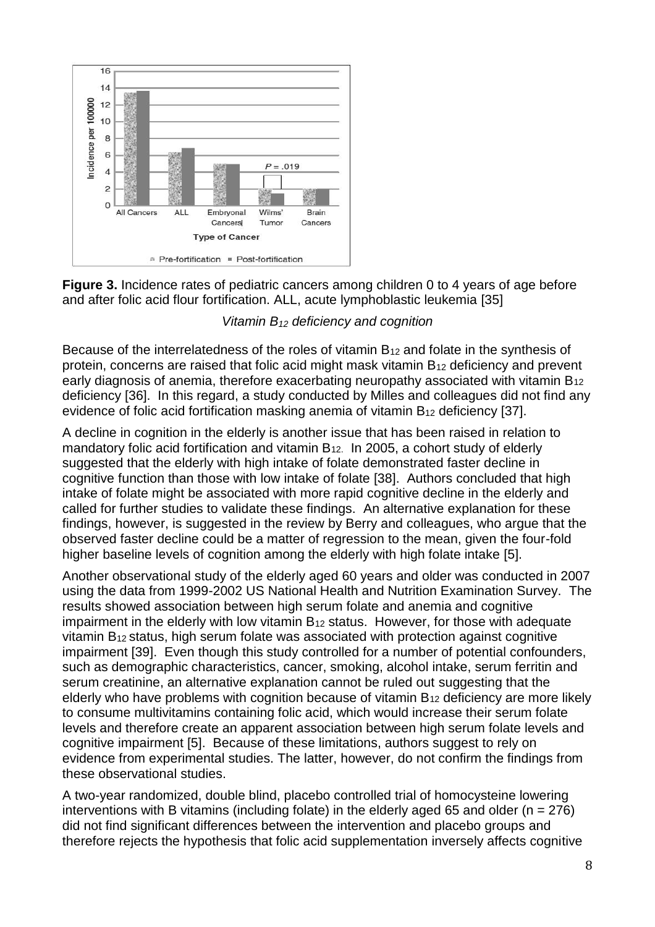

**Figure 3.** Incidence rates of pediatric cancers among children 0 to 4 years of age before and after folic acid flour fortification. ALL, acute lymphoblastic leukemia [\[35\]](#page-20-16)

## *Vitamin B<sup>12</sup> deficiency and cognition*

Because of the interrelatedness of the roles of vitamin  $B_{12}$  and folate in the synthesis of protein, concerns are raised that folic acid might mask vitamin B<sup>12</sup> deficiency and prevent early diagnosis of anemia, therefore exacerbating neuropathy associated with vitamin  $B_{12}$ deficiency [\[36\]](#page-20-17). In this regard, a study conducted by Milles and colleagues did not find any evidence of folic acid fortification masking anemia of vitamin B<sup>12</sup> deficiency [\[37\]](#page-20-18).

A decline in cognition in the elderly is another issue that has been raised in relation to mandatory folic acid fortification and vitamin  $B_{12}$ . In 2005, a cohort study of elderly suggested that the elderly with high intake of folate demonstrated faster decline in cognitive function than those with low intake of folate [\[38\]](#page-20-19). Authors concluded that high intake of folate might be associated with more rapid cognitive decline in the elderly and called for further studies to validate these findings. An alternative explanation for these findings, however, is suggested in the review by Berry and colleagues, who argue that the observed faster decline could be a matter of regression to the mean, given the four-fold higher baseline levels of cognition among the elderly with high folate intake [\[5\]](#page-19-4).

Another observational study of the elderly aged 60 years and older was conducted in 2007 using the data from 1999-2002 US National Health and Nutrition Examination Survey. The results showed association between high serum folate and anemia and cognitive impairment in the elderly with low vitamin  $B_{12}$  status. However, for those with adequate vitamin B12 status, high serum folate was associated with protection against cognitive impairment [\[39\]](#page-21-0). Even though this study controlled for a number of potential confounders, such as demographic characteristics, cancer, smoking, alcohol intake, serum ferritin and serum creatinine, an alternative explanation cannot be ruled out suggesting that the elderly who have problems with cognition because of vitamin B<sup>12</sup> deficiency are more likely to consume multivitamins containing folic acid, which would increase their serum folate levels and therefore create an apparent association between high serum folate levels and cognitive impairment [\[5\]](#page-19-4). Because of these limitations, authors suggest to rely on evidence from experimental studies. The latter, however, do not confirm the findings from these observational studies.

A two-year randomized, double blind, placebo controlled trial of homocysteine lowering interventions with B vitamins (including folate) in the elderly aged 65 and older ( $n = 276$ ) did not find significant differences between the intervention and placebo groups and therefore rejects the hypothesis that folic acid supplementation inversely affects cognitive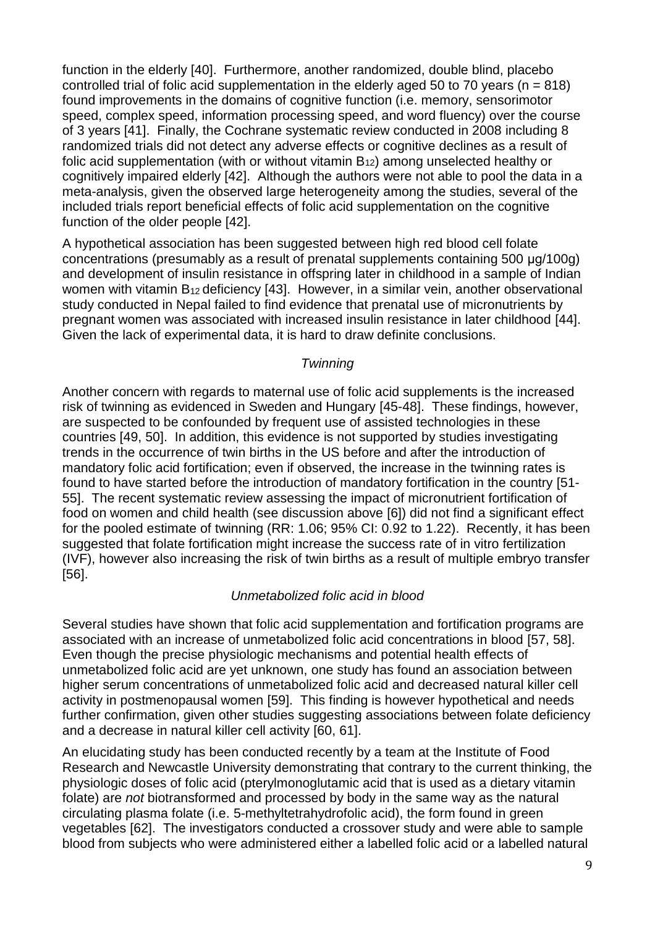function in the elderly [\[40\]](#page-21-1). Furthermore, another randomized, double blind, placebo controlled trial of folic acid supplementation in the elderly aged 50 to 70 years ( $n = 818$ ) found improvements in the domains of cognitive function (i.e. memory, sensorimotor speed, complex speed, information processing speed, and word fluency) over the course of 3 years [\[41\]](#page-21-2). Finally, the Cochrane systematic review conducted in 2008 including 8 randomized trials did not detect any adverse effects or cognitive declines as a result of folic acid supplementation (with or without vitamin  $B_{12}$ ) among unselected healthy or cognitively impaired elderly [\[42\]](#page-21-3). Although the authors were not able to pool the data in a meta-analysis, given the observed large heterogeneity among the studies, several of the included trials report beneficial effects of folic acid supplementation on the cognitive function of the older people [\[42\]](#page-21-3).

A hypothetical association has been suggested between high red blood cell folate concentrations (presumably as a result of prenatal supplements containing 500 μg/100g) and development of insulin resistance in offspring later in childhood in a sample of Indian women with vitamin B<sub>12</sub> deficiency [\[43\]](#page-21-4). However, in a similar vein, another observational study conducted in Nepal failed to find evidence that prenatal use of micronutrients by pregnant women was associated with increased insulin resistance in later childhood [\[44\]](#page-21-5). Given the lack of experimental data, it is hard to draw definite conclusions.

## *Twinning*

Another concern with regards to maternal use of folic acid supplements is the increased risk of twinning as evidenced in Sweden and Hungary [\[45-48\]](#page-21-6). These findings, however, are suspected to be confounded by frequent use of assisted technologies in these countries [\[49,](#page-21-7) [50\]](#page-21-8). In addition, this evidence is not supported by studies investigating trends in the occurrence of twin births in the US before and after the introduction of mandatory folic acid fortification; even if observed, the increase in the twinning rates is found to have started before the introduction of mandatory fortification in the country [\[51-](#page-21-9) [55\]](#page-21-9). The recent systematic review assessing the impact of micronutrient fortification of food on women and child health (see discussion above [\[6\]](#page-19-5)) did not find a significant effect for the pooled estimate of twinning (RR: 1.06; 95% CI: 0.92 to 1.22). Recently, it has been suggested that folate fortification might increase the success rate of in vitro fertilization (IVF), however also increasing the risk of twin births as a result of multiple embryo transfer [\[56\]](#page-21-10).

## *Unmetabolized folic acid in blood*

Several studies have shown that folic acid supplementation and fortification programs are associated with an increase of unmetabolized folic acid concentrations in blood [\[57,](#page-21-11) [58\]](#page-21-12). Even though the precise physiologic mechanisms and potential health effects of unmetabolized folic acid are yet unknown, one study has found an association between higher serum concentrations of unmetabolized folic acid and decreased natural killer cell activity in postmenopausal women [\[59\]](#page-21-13). This finding is however hypothetical and needs further confirmation, given other studies suggesting associations between folate deficiency and a decrease in natural killer cell activity [\[60,](#page-21-14) [61\]](#page-22-0).

An elucidating study has been conducted recently by a team at the Institute of Food Research and Newcastle University demonstrating that contrary to the current thinking, the physiologic doses of folic acid (pterylmonoglutamic acid that is used as a dietary vitamin folate) are *not* biotransformed and processed by body in the same way as the natural circulating plasma folate (i.e. 5-methyltetrahydrofolic acid), the form found in green vegetables [\[62\]](#page-22-1). The investigators conducted a crossover study and were able to sample blood from subjects who were administered either a labelled folic acid or a labelled natural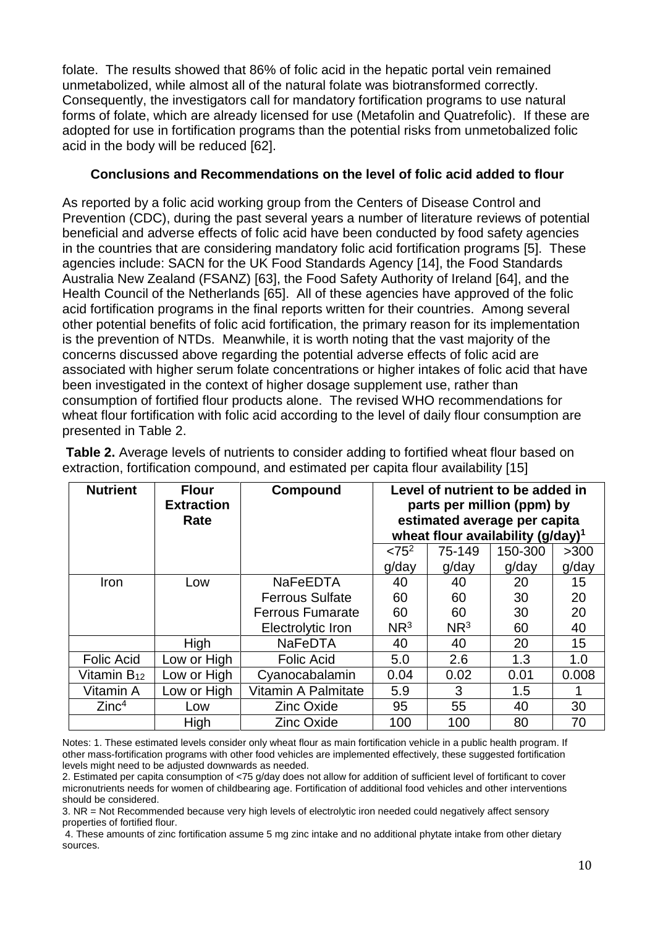folate. The results showed that 86% of folic acid in the hepatic portal vein remained unmetabolized, while almost all of the natural folate was biotransformed correctly. Consequently, the investigators call for mandatory fortification programs to use natural forms of folate, which are already licensed for use (Metafolin and Quatrefolic). If these are adopted for use in fortification programs than the potential risks from unmetobalized folic acid in the body will be reduced [\[62\]](#page-22-1).

## **Conclusions and Recommendations on the level of folic acid added to flour**

As reported by a folic acid working group from the Centers of Disease Control and Prevention (CDC), during the past several years a number of literature reviews of potential beneficial and adverse effects of folic acid have been conducted by food safety agencies in the countries that are considering mandatory folic acid fortification programs [\[5\]](#page-19-4). These agencies include: SACN for the UK Food Standards Agency [\[14\]](#page-19-13), the Food Standards Australia New Zealand (FSANZ) [\[63\]](#page-22-2), the Food Safety Authority of Ireland [\[64\]](#page-22-3), and the Health Council of the Netherlands [\[65\]](#page-22-4). All of these agencies have approved of the folic acid fortification programs in the final reports written for their countries. Among several other potential benefits of folic acid fortification, the primary reason for its implementation is the prevention of NTDs. Meanwhile, it is worth noting that the vast majority of the concerns discussed above regarding the potential adverse effects of folic acid are associated with higher serum folate concentrations or higher intakes of folic acid that have been investigated in the context of higher dosage supplement use, rather than consumption of fortified flour products alone. The revised WHO recommendations for wheat flour fortification with folic acid according to the level of daily flour consumption are presented in Table 2.

| <b>Nutrient</b>         | <b>Flour</b><br><b>Extraction</b><br>Rate | Compound                | Level of nutrient to be added in<br>parts per million (ppm) by<br>estimated average per capita<br>wheat flour availability $(g/day)^1$ |                 |         |       |
|-------------------------|-------------------------------------------|-------------------------|----------------------------------------------------------------------------------------------------------------------------------------|-----------------|---------|-------|
|                         |                                           |                         | $< 75^2$                                                                                                                               | 75-149          | 150-300 | >300  |
|                         |                                           |                         | g/day                                                                                                                                  | g/day           | g/day   | g/day |
| Iron                    | Low                                       | <b>NaFeEDTA</b>         | 40                                                                                                                                     | 40              | 20      | 15    |
|                         |                                           | <b>Ferrous Sulfate</b>  | 60                                                                                                                                     | 60              | 30      | 20    |
|                         |                                           | <b>Ferrous Fumarate</b> | 60                                                                                                                                     | 60              | 30      | 20    |
|                         |                                           | Electrolytic Iron       | NR <sup>3</sup>                                                                                                                        | NR <sup>3</sup> | 60      | 40    |
|                         | High                                      | <b>NaFeDTA</b>          | 40                                                                                                                                     | 40              | 20      | 15    |
| <b>Folic Acid</b>       | Low or High                               | <b>Folic Acid</b>       | 5.0                                                                                                                                    | 2.6             | 1.3     | 1.0   |
| Vitamin B <sub>12</sub> | Low or High                               | Cyanocabalamin          | 0.04                                                                                                                                   | 0.02            | 0.01    | 0.008 |
| Vitamin A               | Low or High                               | Vitamin A Palmitate     | 5.9                                                                                                                                    | 3               | 1.5     |       |
| Zinc <sup>4</sup>       | Low                                       | <b>Zinc Oxide</b>       | 95                                                                                                                                     | 55              | 40      | 30    |
|                         | High                                      | <b>Zinc Oxide</b>       | 100                                                                                                                                    | 100             | 80      | 70    |

**Table 2.** Average levels of nutrients to consider adding to fortified wheat flour based on extraction, fortification compound, and estimated per capita flour availability [\[15\]](#page-19-14)

Notes: 1. These estimated levels consider only wheat flour as main fortification vehicle in a public health program. If other mass-fortification programs with other food vehicles are implemented effectively, these suggested fortification levels might need to be adjusted downwards as needed.

2. Estimated per capita consumption of <75 g/day does not allow for addition of sufficient level of fortificant to cover micronutrients needs for women of childbearing age. Fortification of additional food vehicles and other interventions should be considered.

3. NR = Not Recommended because very high levels of electrolytic iron needed could negatively affect sensory properties of fortified flour.

4. These amounts of zinc fortification assume 5 mg zinc intake and no additional phytate intake from other dietary sources.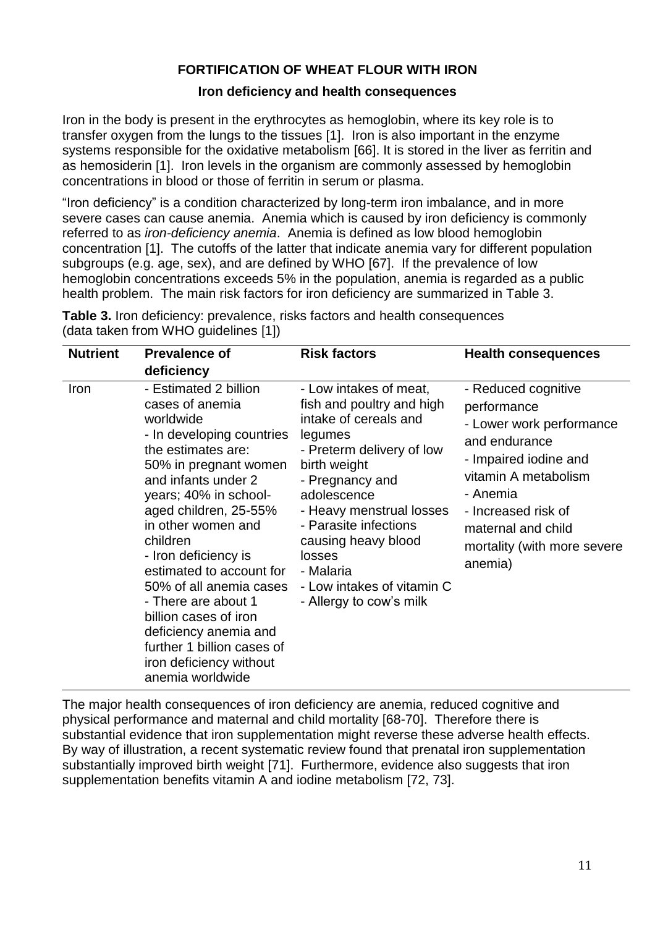## **FORTIFICATION OF WHEAT FLOUR WITH IRON**

## **Iron deficiency and health consequences**

Iron in the body is present in the erythrocytes as hemoglobin, where its key role is to transfer oxygen from the lungs to the tissues [\[1\]](#page-19-0). Iron is also important in the enzyme systems responsible for the oxidative metabolism [\[66\]](#page-22-5). It is stored in the liver as ferritin and as hemosiderin [\[1\]](#page-19-0). Iron levels in the organism are commonly assessed by hemoglobin concentrations in blood or those of ferritin in serum or plasma.

"Iron deficiency" is a condition characterized by long-term iron imbalance, and in more severe cases can cause anemia. Anemia which is caused by iron deficiency is commonly referred to as *iron-deficiency anemia*. Anemia is defined as low blood hemoglobin concentration [\[1\]](#page-19-0). The cutoffs of the latter that indicate anemia vary for different population subgroups (e.g. age, sex), and are defined by WHO [\[67\]](#page-22-6). If the prevalence of low hemoglobin concentrations exceeds 5% in the population, anemia is regarded as a public health problem. The main risk factors for iron deficiency are summarized in Table 3.

| <b>Nutrient</b> | <b>Prevalence of</b>                                                                                                                                                                                                                                                                                                                                                                                                                                                              | <b>Risk factors</b>                                                                                                                                                                                                                                                                                                                | <b>Health consequences</b>                                                                                                                                                                                                          |
|-----------------|-----------------------------------------------------------------------------------------------------------------------------------------------------------------------------------------------------------------------------------------------------------------------------------------------------------------------------------------------------------------------------------------------------------------------------------------------------------------------------------|------------------------------------------------------------------------------------------------------------------------------------------------------------------------------------------------------------------------------------------------------------------------------------------------------------------------------------|-------------------------------------------------------------------------------------------------------------------------------------------------------------------------------------------------------------------------------------|
|                 | deficiency                                                                                                                                                                                                                                                                                                                                                                                                                                                                        |                                                                                                                                                                                                                                                                                                                                    |                                                                                                                                                                                                                                     |
| Iron            | - Estimated 2 billion<br>cases of anemia<br>worldwide<br>- In developing countries<br>the estimates are:<br>50% in pregnant women<br>and infants under 2<br>years; 40% in school-<br>aged children, 25-55%<br>in other women and<br>children<br>- Iron deficiency is<br>estimated to account for<br>50% of all anemia cases<br>- There are about 1<br>billion cases of iron<br>deficiency anemia and<br>further 1 billion cases of<br>iron deficiency without<br>anemia worldwide | - Low intakes of meat,<br>fish and poultry and high<br>intake of cereals and<br>legumes<br>- Preterm delivery of low<br>birth weight<br>- Pregnancy and<br>adolescence<br>- Heavy menstrual losses<br>- Parasite infections<br>causing heavy blood<br>losses<br>- Malaria<br>- Low intakes of vitamin C<br>- Allergy to cow's milk | - Reduced cognitive<br>performance<br>- Lower work performance<br>and endurance<br>- Impaired iodine and<br>vitamin A metabolism<br>- Anemia<br>- Increased risk of<br>maternal and child<br>mortality (with more severe<br>anemia) |

**Table 3.** Iron deficiency: prevalence, risks factors and health consequences (data taken from WHO guidelines [\[1\]](#page-19-0))

The major health consequences of iron deficiency are anemia, reduced cognitive and physical performance and maternal and child mortality [\[68-70\]](#page-22-7). Therefore there is substantial evidence that iron supplementation might reverse these adverse health effects. By way of illustration, a recent systematic review found that prenatal iron supplementation substantially improved birth weight [\[71\]](#page-22-8). Furthermore, evidence also suggests that iron supplementation benefits vitamin A and iodine metabolism [\[72,](#page-22-9) [73\]](#page-22-10).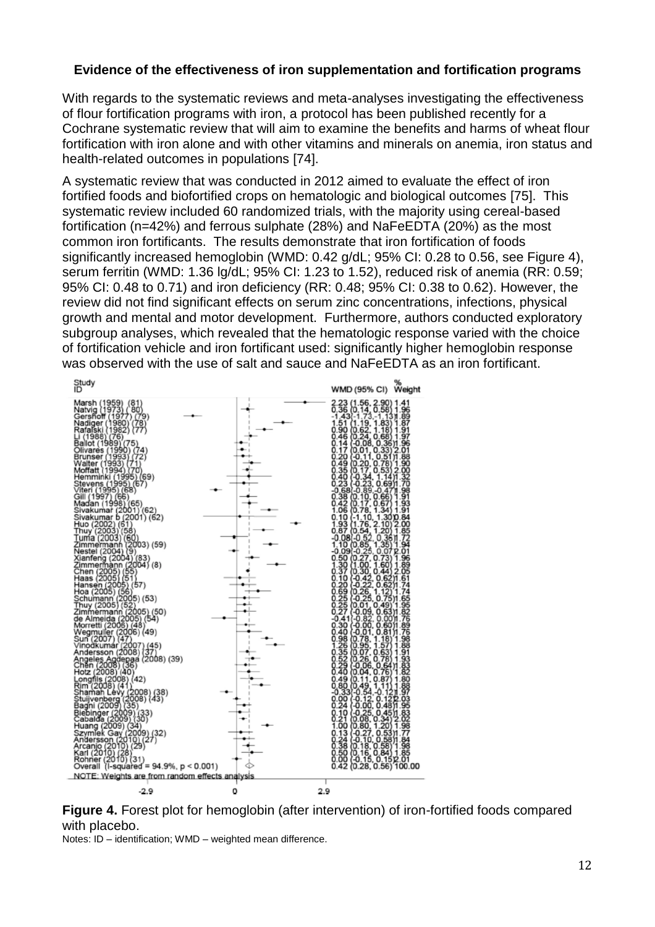## **Evidence of the effectiveness of iron supplementation and fortification programs**

With regards to the systematic reviews and meta-analyses investigating the effectiveness of flour fortification programs with iron, a protocol has been published recently for a Cochrane systematic review that will aim to examine the benefits and harms of wheat flour fortification with iron alone and with other vitamins and minerals on anemia, iron status and health-related outcomes in populations [\[74\]](#page-22-11).

A systematic review that was conducted in 2012 aimed to evaluate the effect of iron fortified foods and biofortified crops on hematologic and biological outcomes [\[75\]](#page-22-12). This systematic review included 60 randomized trials, with the majority using cereal-based fortification (n=42%) and ferrous sulphate (28%) and NaFeEDTA (20%) as the most common iron fortificants. The results demonstrate that iron fortification of foods significantly increased hemoglobin (WMD: 0.42 g/dL; 95% CI: 0.28 to 0.56, see Figure 4), serum ferritin (WMD: 1.36 lg/dL; 95% CI: 1.23 to 1.52), reduced risk of anemia (RR: 0.59; 95% CI: 0.48 to 0.71) and iron deficiency (RR: 0.48; 95% CI: 0.38 to 0.62). However, the review did not find significant effects on serum zinc concentrations, infections, physical growth and mental and motor development. Furthermore, authors conducted exploratory subgroup analyses, which revealed that the hematologic response varied with the choice of fortification vehicle and iron fortificant used: significantly higher hemoglobin response was observed with the use of salt and sauce and NaFeEDTA as an iron fortificant.



**Figure 4.** Forest plot for hemoglobin (after intervention) of iron-fortified foods compared with placebo.

Notes: ID – identification; WMD – weighted mean difference.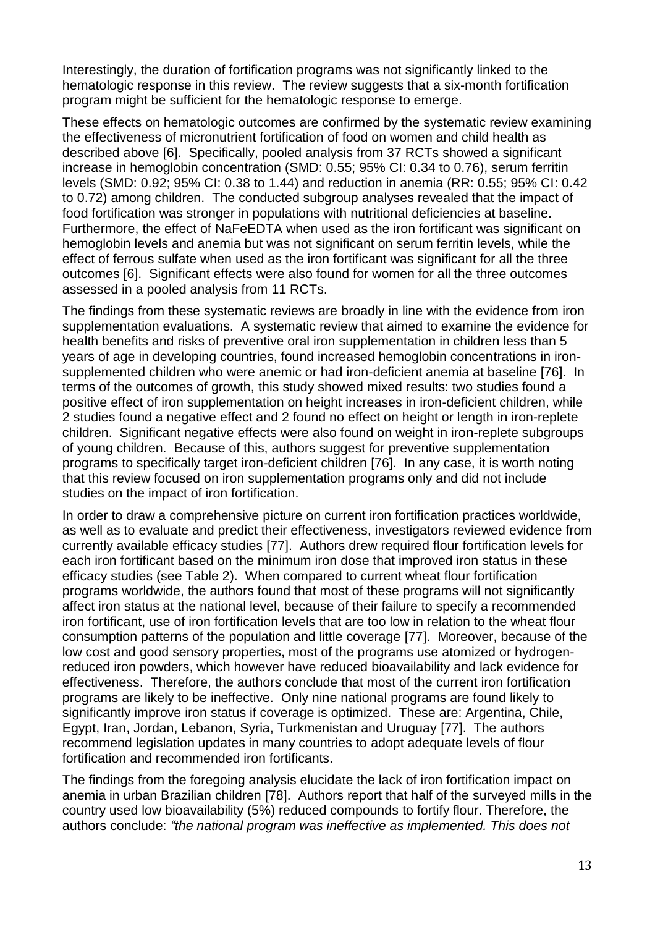Interestingly, the duration of fortification programs was not significantly linked to the hematologic response in this review. The review suggests that a six-month fortification program might be sufficient for the hematologic response to emerge.

These effects on hematologic outcomes are confirmed by the systematic review examining the effectiveness of micronutrient fortification of food on women and child health as described above [\[6\]](#page-19-5). Specifically, pooled analysis from 37 RCTs showed a significant increase in hemoglobin concentration (SMD: 0.55; 95% CI: 0.34 to 0.76), serum ferritin levels (SMD: 0.92; 95% CI: 0.38 to 1.44) and reduction in anemia (RR: 0.55; 95% CI: 0.42 to 0.72) among children. The conducted subgroup analyses revealed that the impact of food fortification was stronger in populations with nutritional deficiencies at baseline. Furthermore, the effect of NaFeEDTA when used as the iron fortificant was significant on hemoglobin levels and anemia but was not significant on serum ferritin levels, while the effect of ferrous sulfate when used as the iron fortificant was significant for all the three outcomes [\[6\]](#page-19-5). Significant effects were also found for women for all the three outcomes assessed in a pooled analysis from 11 RCTs.

The findings from these systematic reviews are broadly in line with the evidence from iron supplementation evaluations. A systematic review that aimed to examine the evidence for health benefits and risks of preventive oral iron supplementation in children less than 5 years of age in developing countries, found increased hemoglobin concentrations in ironsupplemented children who were anemic or had iron-deficient anemia at baseline [\[76\]](#page-22-13). In terms of the outcomes of growth, this study showed mixed results: two studies found a positive effect of iron supplementation on height increases in iron-deficient children, while 2 studies found a negative effect and 2 found no effect on height or length in iron-replete children. Significant negative effects were also found on weight in iron-replete subgroups of young children. Because of this, authors suggest for preventive supplementation programs to specifically target iron-deficient children [\[76\]](#page-22-13). In any case, it is worth noting that this review focused on iron supplementation programs only and did not include studies on the impact of iron fortification.

In order to draw a comprehensive picture on current iron fortification practices worldwide, as well as to evaluate and predict their effectiveness, investigators reviewed evidence from currently available efficacy studies [\[77\]](#page-22-14). Authors drew required flour fortification levels for each iron fortificant based on the minimum iron dose that improved iron status in these efficacy studies (see Table 2). When compared to current wheat flour fortification programs worldwide, the authors found that most of these programs will not significantly affect iron status at the national level, because of their failure to specify a recommended iron fortificant, use of iron fortification levels that are too low in relation to the wheat flour consumption patterns of the population and little coverage [\[77\]](#page-22-14). Moreover, because of the low cost and good sensory properties, most of the programs use atomized or hydrogenreduced iron powders, which however have reduced bioavailability and lack evidence for effectiveness. Therefore, the authors conclude that most of the current iron fortification programs are likely to be ineffective. Only nine national programs are found likely to significantly improve iron status if coverage is optimized. These are: Argentina, Chile, Egypt, Iran, Jordan, Lebanon, Syria, Turkmenistan and Uruguay [\[77\]](#page-22-14). The authors recommend legislation updates in many countries to adopt adequate levels of flour fortification and recommended iron fortificants.

The findings from the foregoing analysis elucidate the lack of iron fortification impact on anemia in urban Brazilian children [\[78\]](#page-22-15). Authors report that half of the surveyed mills in the country used low bioavailability (5%) reduced compounds to fortify flour. Therefore, the authors conclude: *"the national program was ineffective as implemented. This does not*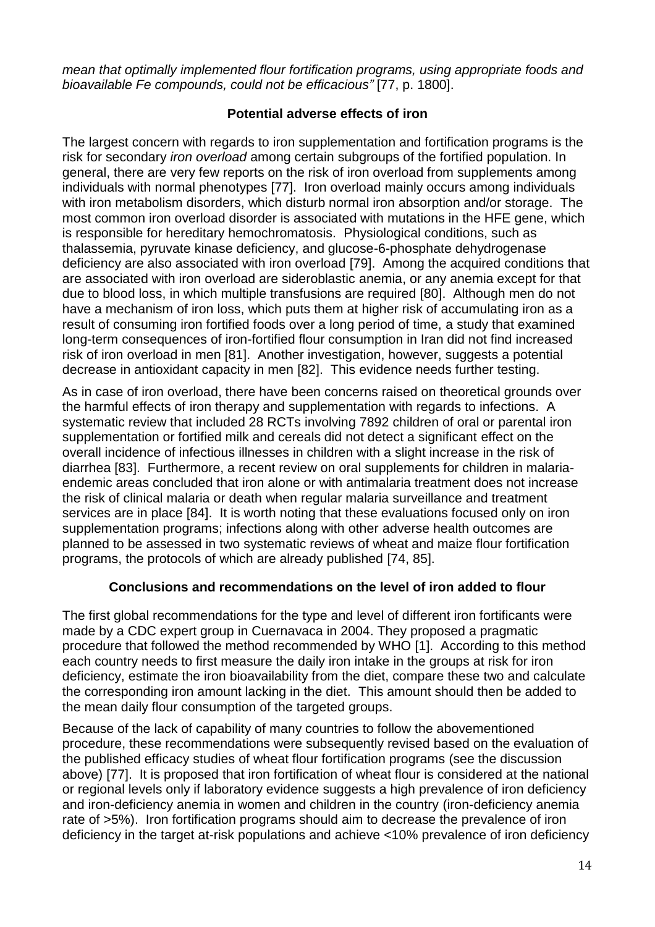*mean that optimally implemented flour fortification programs, using appropriate foods and bioavailable Fe compounds, could not be efficacious"* [77, p. 1800].

## **Potential adverse effects of iron**

The largest concern with regards to iron supplementation and fortification programs is the risk for secondary *iron overload* among certain subgroups of the fortified population. In general, there are very few reports on the risk of iron overload from supplements among individuals with normal phenotypes [\[77\]](#page-22-14). Iron overload mainly occurs among individuals with iron metabolism disorders, which disturb normal iron absorption and/or storage. The most common iron overload disorder is associated with mutations in the HFE gene, which is responsible for hereditary hemochromatosis. Physiological conditions, such as thalassemia, pyruvate kinase deficiency, and glucose-6-phosphate dehydrogenase deficiency are also associated with iron overload [\[79\]](#page-22-16). Among the acquired conditions that are associated with iron overload are sideroblastic anemia, or any anemia except for that due to blood loss, in which multiple transfusions are required [\[80\]](#page-22-17). Although men do not have a mechanism of iron loss, which puts them at higher risk of accumulating iron as a result of consuming iron fortified foods over a long period of time, a study that examined long-term consequences of iron-fortified flour consumption in Iran did not find increased risk of iron overload in men [\[81\]](#page-22-18). Another investigation, however, suggests a potential decrease in antioxidant capacity in men [\[82\]](#page-23-0). This evidence needs further testing.

As in case of iron overload, there have been concerns raised on theoretical grounds over the harmful effects of iron therapy and supplementation with regards to infections. A systematic review that included 28 RCTs involving 7892 children of oral or parental iron supplementation or fortified milk and cereals did not detect a significant effect on the overall incidence of infectious illnesses in children with a slight increase in the risk of diarrhea [\[83\]](#page-23-1). Furthermore, a recent review on oral supplements for children in malariaendemic areas concluded that iron alone or with antimalaria treatment does not increase the risk of clinical malaria or death when regular malaria surveillance and treatment services are in place [\[84\]](#page-23-2). It is worth noting that these evaluations focused only on iron supplementation programs; infections along with other adverse health outcomes are planned to be assessed in two systematic reviews of wheat and maize flour fortification programs, the protocols of which are already published [\[74,](#page-22-11) [85\]](#page-23-3).

## **Conclusions and recommendations on the level of iron added to flour**

The first global recommendations for the type and level of different iron fortificants were made by a CDC expert group in Cuernavaca in 2004. They proposed a pragmatic procedure that followed the method recommended by WHO [\[1\]](#page-19-0). According to this method each country needs to first measure the daily iron intake in the groups at risk for iron deficiency, estimate the iron bioavailability from the diet, compare these two and calculate the corresponding iron amount lacking in the diet. This amount should then be added to the mean daily flour consumption of the targeted groups.

Because of the lack of capability of many countries to follow the abovementioned procedure, these recommendations were subsequently revised based on the evaluation of the published efficacy studies of wheat flour fortification programs (see the discussion above) [\[77\]](#page-22-14). It is proposed that iron fortification of wheat flour is considered at the national or regional levels only if laboratory evidence suggests a high prevalence of iron deficiency and iron-deficiency anemia in women and children in the country (iron-deficiency anemia rate of >5%). Iron fortification programs should aim to decrease the prevalence of iron deficiency in the target at-risk populations and achieve <10% prevalence of iron deficiency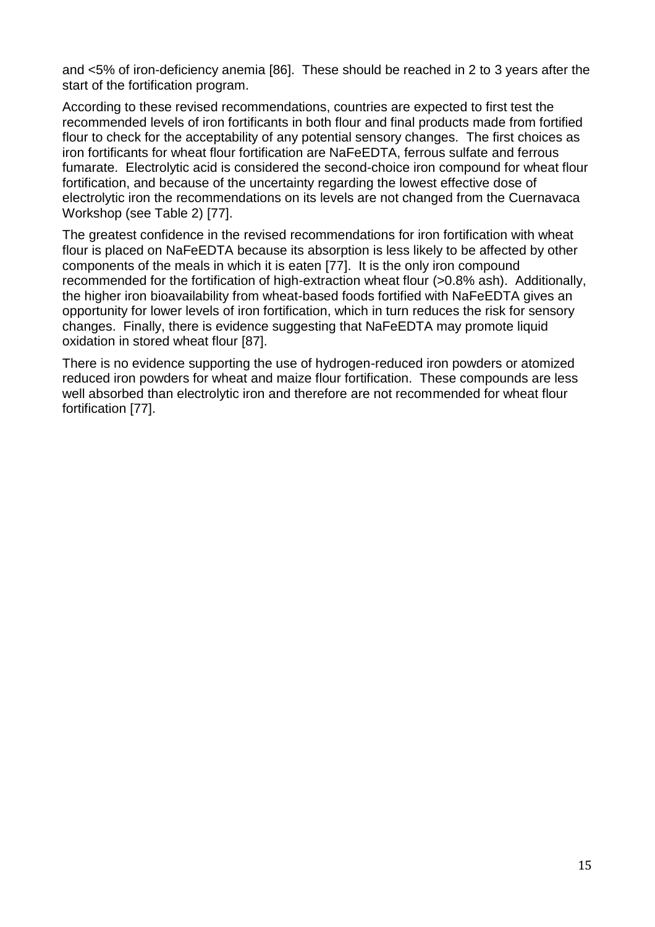and <5% of iron-deficiency anemia [\[86\]](#page-23-4). These should be reached in 2 to 3 years after the start of the fortification program.

According to these revised recommendations, countries are expected to first test the recommended levels of iron fortificants in both flour and final products made from fortified flour to check for the acceptability of any potential sensory changes. The first choices as iron fortificants for wheat flour fortification are NaFeEDTA, ferrous sulfate and ferrous fumarate. Electrolytic acid is considered the second-choice iron compound for wheat flour fortification, and because of the uncertainty regarding the lowest effective dose of electrolytic iron the recommendations on its levels are not changed from the Cuernavaca Workshop (see Table 2) [\[77\]](#page-22-14).

The greatest confidence in the revised recommendations for iron fortification with wheat flour is placed on NaFeEDTA because its absorption is less likely to be affected by other components of the meals in which it is eaten [\[77\]](#page-22-14). It is the only iron compound recommended for the fortification of high-extraction wheat flour (>0.8% ash). Additionally, the higher iron bioavailability from wheat-based foods fortified with NaFeEDTA gives an opportunity for lower levels of iron fortification, which in turn reduces the risk for sensory changes. Finally, there is evidence suggesting that NaFeEDTA may promote liquid oxidation in stored wheat flour [\[87\]](#page-23-5).

There is no evidence supporting the use of hydrogen-reduced iron powders or atomized reduced iron powders for wheat and maize flour fortification. These compounds are less well absorbed than electrolytic iron and therefore are not recommended for wheat flour fortification [\[77\]](#page-22-14).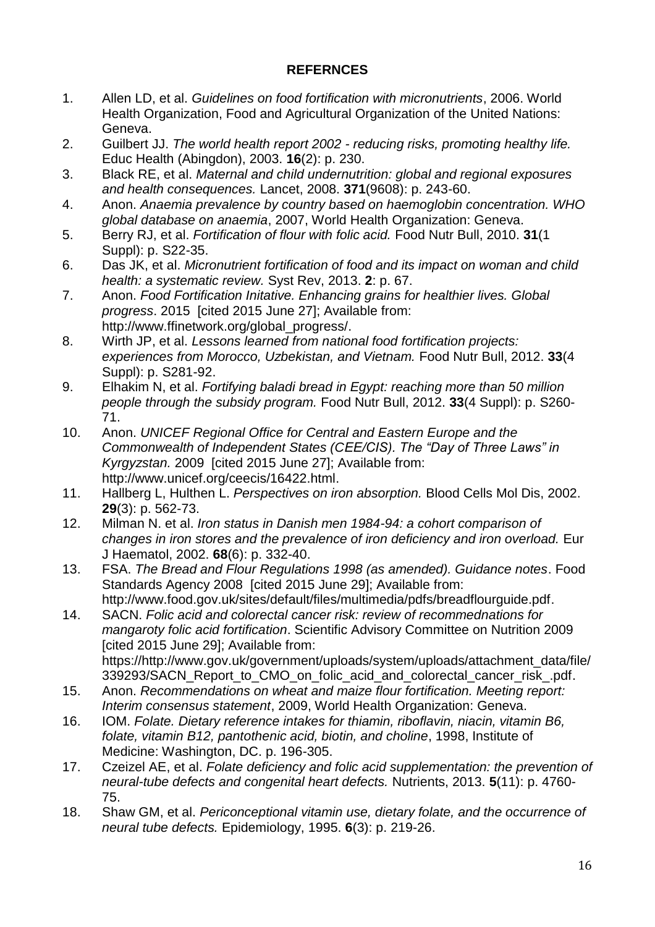## **REFERNCES**

- <span id="page-19-0"></span>1. Allen LD, et al. *Guidelines on food fortification with micronutrients*, 2006. World Health Organization, Food and Agricultural Organization of the United Nations: Geneva.
- <span id="page-19-1"></span>2. Guilbert JJ. *The world health report 2002 - reducing risks, promoting healthy life.* Educ Health (Abingdon), 2003. **16**(2): p. 230.
- <span id="page-19-2"></span>3. Black RE, et al. *Maternal and child undernutrition: global and regional exposures and health consequences.* Lancet, 2008. **371**(9608): p. 243-60.
- <span id="page-19-3"></span>4. Anon. *Anaemia prevalence by country based on haemoglobin concentration. WHO global database on anaemia*, 2007, World Health Organization: Geneva.
- <span id="page-19-4"></span>5. Berry RJ, et al. *Fortification of flour with folic acid.* Food Nutr Bull, 2010. **31**(1 Suppl): p. S22-35.
- <span id="page-19-5"></span>6. Das JK, et al. *Micronutrient fortification of food and its impact on woman and child health: a systematic review.* Syst Rev, 2013. **2**: p. 67.
- <span id="page-19-6"></span>7. Anon. *Food Fortification Initative. Enhancing grains for healthier lives. Global progress*. 2015 [cited 2015 June 27]; Available from: http://www.ffinetwork.org/global\_progress/.
- <span id="page-19-7"></span>8. Wirth JP, et al. *Lessons learned from national food fortification projects: experiences from Morocco, Uzbekistan, and Vietnam.* Food Nutr Bull, 2012. **33**(4 Suppl): p. S281-92.
- <span id="page-19-8"></span>9. Elhakim N, et al. *Fortifying baladi bread in Egypt: reaching more than 50 million people through the subsidy program.* Food Nutr Bull, 2012. **33**(4 Suppl): p. S260- 71.
- <span id="page-19-9"></span>10. Anon. *UNICEF Regional Office for Central and Eastern Europe and the Commonwealth of Independent States (CEE/CIS). The "Day of Three Laws" in Kyrgyzstan.* 2009 [cited 2015 June 27]; Available from: http://www.unicef.org/ceecis/16422.html.
- <span id="page-19-10"></span>11. Hallberg L, Hulthen L. *Perspectives on iron absorption.* Blood Cells Mol Dis, 2002. **29**(3): p. 562-73.
- <span id="page-19-11"></span>12. Milman N. et al. *Iron status in Danish men 1984-94: a cohort comparison of changes in iron stores and the prevalence of iron deficiency and iron overload.* Eur J Haematol, 2002. **68**(6): p. 332-40.
- <span id="page-19-12"></span>13. FSA. *The Bread and Flour Regulations 1998 (as amended). Guidance notes*. Food Standards Agency 2008 [cited 2015 June 29]; Available from: http://www.food.gov.uk/sites/default/files/multimedia/pdfs/breadflourguide.pdf.
- <span id="page-19-13"></span>14. SACN. *Folic acid and colorectal cancer risk: review of recommednations for mangaroty folic acid fortification*. Scientific Advisory Committee on Nutrition 2009 [cited 2015 June 29]; Available from: https://http://www.gov.uk/government/uploads/system/uploads/attachment\_data/file/ 339293/SACN\_Report\_to\_CMO\_on\_folic\_acid\_and\_colorectal\_cancer\_risk\_.pdf.
- <span id="page-19-14"></span>15. Anon. *Recommendations on wheat and maize flour fortification. Meeting report: Interim consensus statement*, 2009, World Health Organization: Geneva.
- <span id="page-19-15"></span>16. IOM. *Folate. Dietary reference intakes for thiamin, riboflavin, niacin, vitamin B6, folate, vitamin B12, pantothenic acid, biotin, and choline*, 1998, Institute of Medicine: Washington, DC. p. 196-305.
- <span id="page-19-16"></span>17. Czeizel AE, et al. *Folate deficiency and folic acid supplementation: the prevention of neural-tube defects and congenital heart defects.* Nutrients, 2013. **5**(11): p. 4760- 75.
- <span id="page-19-17"></span>18. Shaw GM, et al. *Periconceptional vitamin use, dietary folate, and the occurrence of neural tube defects.* Epidemiology, 1995. **6**(3): p. 219-26.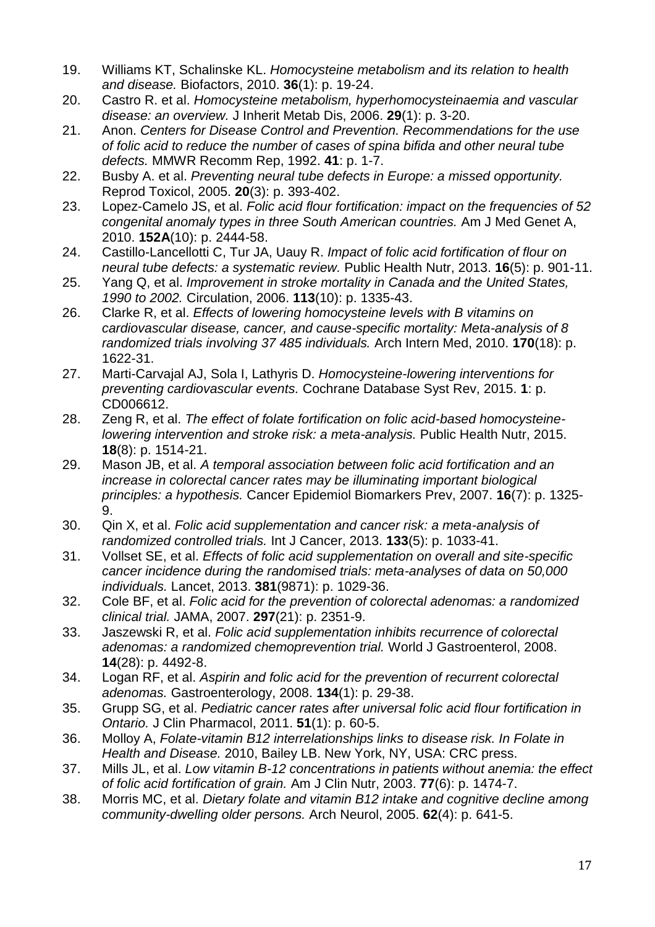- <span id="page-20-0"></span>19. Williams KT, Schalinske KL. *Homocysteine metabolism and its relation to health and disease.* Biofactors, 2010. **36**(1): p. 19-24.
- <span id="page-20-1"></span>20. Castro R. et al. *Homocysteine metabolism, hyperhomocysteinaemia and vascular disease: an overview.* J Inherit Metab Dis, 2006. **29**(1): p. 3-20.
- <span id="page-20-2"></span>21. Anon. *Centers for Disease Control and Prevention. Recommendations for the use of folic acid to reduce the number of cases of spina bifida and other neural tube defects.* MMWR Recomm Rep, 1992. **41**: p. 1-7.
- <span id="page-20-3"></span>22. Busby A. et al. *Preventing neural tube defects in Europe: a missed opportunity.* Reprod Toxicol, 2005. **20**(3): p. 393-402.
- <span id="page-20-4"></span>23. Lopez-Camelo JS, et al. *Folic acid flour fortification: impact on the frequencies of 52 congenital anomaly types in three South American countries.* Am J Med Genet A, 2010. **152A**(10): p. 2444-58.
- <span id="page-20-5"></span>24. Castillo-Lancellotti C, Tur JA, Uauy R. *Impact of folic acid fortification of flour on neural tube defects: a systematic review.* Public Health Nutr, 2013. **16**(5): p. 901-11.
- <span id="page-20-6"></span>25. Yang Q, et al. *Improvement in stroke mortality in Canada and the United States, 1990 to 2002.* Circulation, 2006. **113**(10): p. 1335-43.
- <span id="page-20-7"></span>26. Clarke R, et al. *Effects of lowering homocysteine levels with B vitamins on cardiovascular disease, cancer, and cause-specific mortality: Meta-analysis of 8 randomized trials involving 37 485 individuals.* Arch Intern Med, 2010. **170**(18): p. 1622-31.
- <span id="page-20-8"></span>27. Marti-Carvajal AJ, Sola I, Lathyris D. *Homocysteine-lowering interventions for preventing cardiovascular events.* Cochrane Database Syst Rev, 2015. **1**: p. CD006612.
- <span id="page-20-9"></span>28. Zeng R, et al. *The effect of folate fortification on folic acid-based homocysteinelowering intervention and stroke risk: a meta-analysis.* Public Health Nutr, 2015. **18**(8): p. 1514-21.
- <span id="page-20-10"></span>29. Mason JB, et al. *A temporal association between folic acid fortification and an increase in colorectal cancer rates may be illuminating important biological principles: a hypothesis.* Cancer Epidemiol Biomarkers Prev, 2007. **16**(7): p. 1325- 9.
- <span id="page-20-11"></span>30. Qin X, et al. *Folic acid supplementation and cancer risk: a meta-analysis of randomized controlled trials.* Int J Cancer, 2013. **133**(5): p. 1033-41.
- <span id="page-20-12"></span>31. Vollset SE, et al. *Effects of folic acid supplementation on overall and site-specific cancer incidence during the randomised trials: meta-analyses of data on 50,000 individuals.* Lancet, 2013. **381**(9871): p. 1029-36.
- <span id="page-20-13"></span>32. Cole BF, et al. *Folic acid for the prevention of colorectal adenomas: a randomized clinical trial.* JAMA, 2007. **297**(21): p. 2351-9.
- <span id="page-20-14"></span>33. Jaszewski R, et al. *Folic acid supplementation inhibits recurrence of colorectal adenomas: a randomized chemoprevention trial.* World J Gastroenterol, 2008. **14**(28): p. 4492-8.
- <span id="page-20-15"></span>34. Logan RF, et al. *Aspirin and folic acid for the prevention of recurrent colorectal adenomas.* Gastroenterology, 2008. **134**(1): p. 29-38.
- <span id="page-20-16"></span>35. Grupp SG, et al. *Pediatric cancer rates after universal folic acid flour fortification in Ontario.* J Clin Pharmacol, 2011. **51**(1): p. 60-5.
- <span id="page-20-17"></span>36. Molloy A, *Folate-vitamin B12 interrelationships links to disease risk. In Folate in Health and Disease.* 2010, Bailey LB. New York, NY, USA: CRC press.
- <span id="page-20-18"></span>37. Mills JL, et al. *Low vitamin B-12 concentrations in patients without anemia: the effect of folic acid fortification of grain.* Am J Clin Nutr, 2003. **77**(6): p. 1474-7.
- <span id="page-20-19"></span>38. Morris MC, et al. *Dietary folate and vitamin B12 intake and cognitive decline among community-dwelling older persons.* Arch Neurol, 2005. **62**(4): p. 641-5.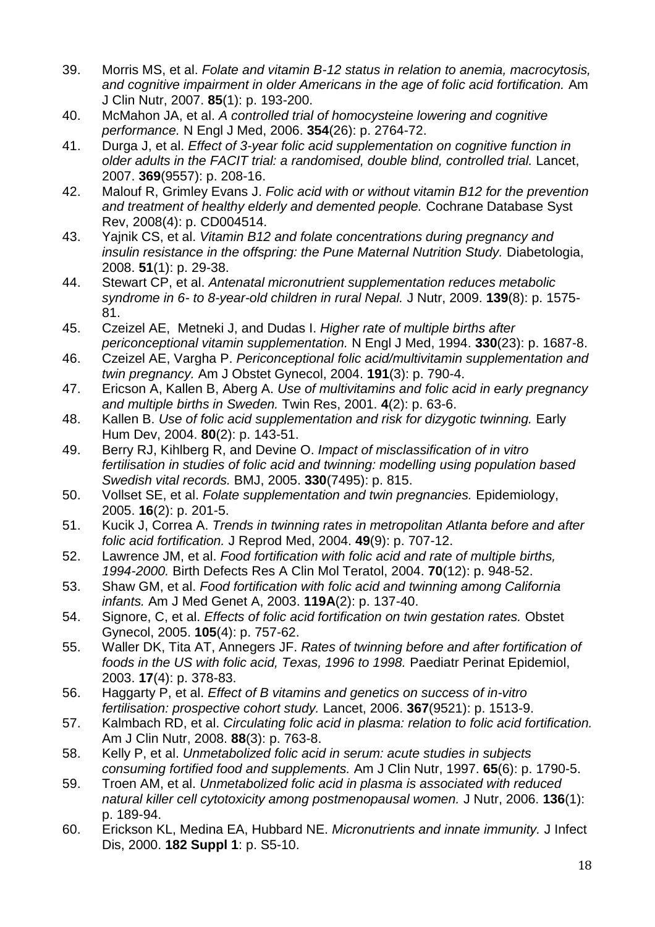- <span id="page-21-0"></span>39. Morris MS, et al. *Folate and vitamin B-12 status in relation to anemia, macrocytosis, and cognitive impairment in older Americans in the age of folic acid fortification.* Am J Clin Nutr, 2007. **85**(1): p. 193-200.
- <span id="page-21-1"></span>40. McMahon JA, et al. *A controlled trial of homocysteine lowering and cognitive performance.* N Engl J Med, 2006. **354**(26): p. 2764-72.
- <span id="page-21-2"></span>41. Durga J, et al. *Effect of 3-year folic acid supplementation on cognitive function in older adults in the FACIT trial: a randomised, double blind, controlled trial.* Lancet, 2007. **369**(9557): p. 208-16.
- <span id="page-21-3"></span>42. Malouf R, Grimley Evans J. *Folic acid with or without vitamin B12 for the prevention and treatment of healthy elderly and demented people.* Cochrane Database Syst Rev, 2008(4): p. CD004514.
- <span id="page-21-4"></span>43. Yajnik CS, et al. *Vitamin B12 and folate concentrations during pregnancy and insulin resistance in the offspring: the Pune Maternal Nutrition Study.* Diabetologia, 2008. **51**(1): p. 29-38.
- <span id="page-21-5"></span>44. Stewart CP, et al. *Antenatal micronutrient supplementation reduces metabolic syndrome in 6- to 8-year-old children in rural Nepal.* J Nutr, 2009. **139**(8): p. 1575- 81.
- <span id="page-21-6"></span>45. Czeizel AE, Metneki J, and Dudas I. *Higher rate of multiple births after periconceptional vitamin supplementation.* N Engl J Med, 1994. **330**(23): p. 1687-8.
- 46. Czeizel AE, Vargha P. *Periconceptional folic acid/multivitamin supplementation and twin pregnancy.* Am J Obstet Gynecol, 2004. **191**(3): p. 790-4.
- 47. Ericson A, Kallen B, Aberg A. *Use of multivitamins and folic acid in early pregnancy and multiple births in Sweden.* Twin Res, 2001. **4**(2): p. 63-6.
- 48. Kallen B. *Use of folic acid supplementation and risk for dizygotic twinning.* Early Hum Dev, 2004. **80**(2): p. 143-51.
- <span id="page-21-7"></span>49. Berry RJ, Kihlberg R, and Devine O. *Impact of misclassification of in vitro fertilisation in studies of folic acid and twinning: modelling using population based Swedish vital records.* BMJ, 2005. **330**(7495): p. 815.
- <span id="page-21-8"></span>50. Vollset SE, et al. *Folate supplementation and twin pregnancies.* Epidemiology, 2005. **16**(2): p. 201-5.
- <span id="page-21-9"></span>51. Kucik J, Correa A. *Trends in twinning rates in metropolitan Atlanta before and after folic acid fortification.* J Reprod Med, 2004. **49**(9): p. 707-12.
- 52. Lawrence JM, et al. *Food fortification with folic acid and rate of multiple births, 1994-2000.* Birth Defects Res A Clin Mol Teratol, 2004. **70**(12): p. 948-52.
- 53. Shaw GM, et al. *Food fortification with folic acid and twinning among California infants.* Am J Med Genet A, 2003. **119A**(2): p. 137-40.
- 54. Signore, C, et al. *Effects of folic acid fortification on twin gestation rates.* Obstet Gynecol, 2005. **105**(4): p. 757-62.
- 55. Waller DK, Tita AT, Annegers JF. *Rates of twinning before and after fortification of foods in the US with folic acid, Texas, 1996 to 1998.* Paediatr Perinat Epidemiol, 2003. **17**(4): p. 378-83.
- <span id="page-21-10"></span>56. Haggarty P, et al. *Effect of B vitamins and genetics on success of in-vitro fertilisation: prospective cohort study.* Lancet, 2006. **367**(9521): p. 1513-9.
- <span id="page-21-11"></span>57. Kalmbach RD, et al. *Circulating folic acid in plasma: relation to folic acid fortification.* Am J Clin Nutr, 2008. **88**(3): p. 763-8.
- <span id="page-21-12"></span>58. Kelly P, et al. *Unmetabolized folic acid in serum: acute studies in subjects consuming fortified food and supplements.* Am J Clin Nutr, 1997. **65**(6): p. 1790-5.
- <span id="page-21-13"></span>59. Troen AM, et al. *Unmetabolized folic acid in plasma is associated with reduced natural killer cell cytotoxicity among postmenopausal women.* J Nutr, 2006. **136**(1): p. 189-94.
- <span id="page-21-14"></span>60. Erickson KL, Medina EA, Hubbard NE. *Micronutrients and innate immunity.* J Infect Dis, 2000. **182 Suppl 1**: p. S5-10.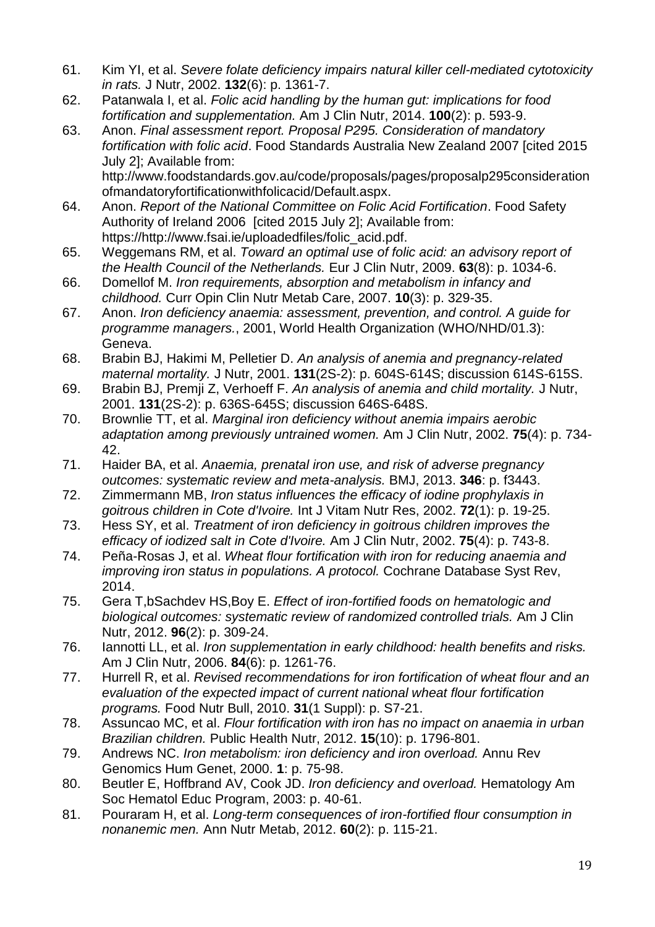- <span id="page-22-0"></span>61. Kim YI, et al. *Severe folate deficiency impairs natural killer cell-mediated cytotoxicity in rats.* J Nutr, 2002. **132**(6): p. 1361-7.
- <span id="page-22-1"></span>62. Patanwala I, et al. *Folic acid handling by the human gut: implications for food fortification and supplementation.* Am J Clin Nutr, 2014. **100**(2): p. 593-9.
- <span id="page-22-2"></span>63. Anon. *Final assessment report. Proposal P295. Consideration of mandatory fortification with folic acid*. Food Standards Australia New Zealand 2007 [cited 2015 July 2]; Available from: http://www.foodstandards.gov.au/code/proposals/pages/proposalp295consideration

<span id="page-22-3"></span>ofmandatoryfortificationwithfolicacid/Default.aspx. 64. Anon. *Report of the National Committee on Folic Acid Fortification*. Food Safety Authority of Ireland 2006 [cited 2015 July 2]; Available from:

https://http://www.fsai.ie/uploadedfiles/folic\_acid.pdf.

- <span id="page-22-4"></span>65. Weggemans RM, et al. *Toward an optimal use of folic acid: an advisory report of the Health Council of the Netherlands.* Eur J Clin Nutr, 2009. **63**(8): p. 1034-6.
- <span id="page-22-5"></span>66. Domellof M. *Iron requirements, absorption and metabolism in infancy and childhood.* Curr Opin Clin Nutr Metab Care, 2007. **10**(3): p. 329-35.
- <span id="page-22-6"></span>67. Anon. *Iron deficiency anaemia: assessment, prevention, and control. A guide for programme managers.*, 2001, World Health Organization (WHO/NHD/01.3): Geneva.
- <span id="page-22-7"></span>68. Brabin BJ, Hakimi M, Pelletier D. *An analysis of anemia and pregnancy-related maternal mortality.* J Nutr, 2001. **131**(2S-2): p. 604S-614S; discussion 614S-615S.
- 69. Brabin BJ, Premji Z, Verhoeff F. *An analysis of anemia and child mortality.* J Nutr, 2001. **131**(2S-2): p. 636S-645S; discussion 646S-648S.
- 70. Brownlie TT, et al. *Marginal iron deficiency without anemia impairs aerobic adaptation among previously untrained women.* Am J Clin Nutr, 2002. **75**(4): p. 734- 42.
- <span id="page-22-8"></span>71. Haider BA, et al. *Anaemia, prenatal iron use, and risk of adverse pregnancy outcomes: systematic review and meta-analysis.* BMJ, 2013. **346**: p. f3443.
- <span id="page-22-9"></span>72. Zimmermann MB, *Iron status influences the efficacy of iodine prophylaxis in goitrous children in Cote d'Ivoire.* Int J Vitam Nutr Res, 2002. **72**(1): p. 19-25.
- <span id="page-22-10"></span>73. Hess SY, et al. *Treatment of iron deficiency in goitrous children improves the efficacy of iodized salt in Cote d'Ivoire.* Am J Clin Nutr, 2002. **75**(4): p. 743-8.
- <span id="page-22-11"></span>74. Peña-Rosas J, et al. *Wheat flour fortification with iron for reducing anaemia and improving iron status in populations. A protocol.* Cochrane Database Syst Rev, 2014.
- <span id="page-22-12"></span>75. Gera T,bSachdev HS,Boy E. *Effect of iron-fortified foods on hematologic and biological outcomes: systematic review of randomized controlled trials.* Am J Clin Nutr, 2012. **96**(2): p. 309-24.
- <span id="page-22-13"></span>76. Iannotti LL, et al. *Iron supplementation in early childhood: health benefits and risks.* Am J Clin Nutr, 2006. **84**(6): p. 1261-76.
- <span id="page-22-14"></span>77. Hurrell R, et al. *Revised recommendations for iron fortification of wheat flour and an evaluation of the expected impact of current national wheat flour fortification programs.* Food Nutr Bull, 2010. **31**(1 Suppl): p. S7-21.
- <span id="page-22-15"></span>78. Assuncao MC, et al. *Flour fortification with iron has no impact on anaemia in urban Brazilian children.* Public Health Nutr, 2012. **15**(10): p. 1796-801.
- <span id="page-22-16"></span>79. Andrews NC. *Iron metabolism: iron deficiency and iron overload.* Annu Rev Genomics Hum Genet, 2000. **1**: p. 75-98.
- <span id="page-22-17"></span>80. Beutler E, Hoffbrand AV, Cook JD. *Iron deficiency and overload.* Hematology Am Soc Hematol Educ Program, 2003: p. 40-61.
- <span id="page-22-18"></span>81. Pouraram H, et al. *Long-term consequences of iron-fortified flour consumption in nonanemic men.* Ann Nutr Metab, 2012. **60**(2): p. 115-21.